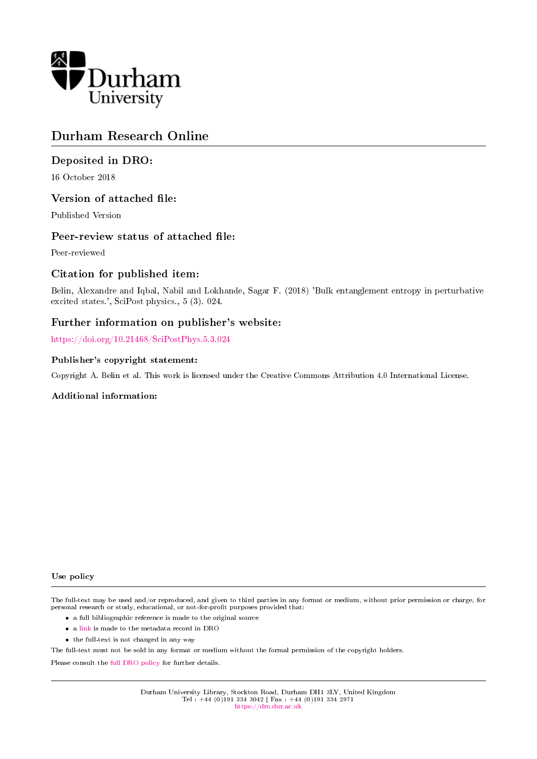

# Durham Research Online

# Deposited in DRO:

16 October 2018

## Version of attached file:

Published Version

## Peer-review status of attached file:

Peer-reviewed

# Citation for published item:

Belin, Alexandre and Iqbal, Nabil and Lokhande, Sagar F. (2018) 'Bulk entanglement entropy in perturbative excited states.', SciPost physics., 5 (3). 024.

## Further information on publisher's website:

<https://doi.org/10.21468/SciPostPhys.5.3.024>

## Publisher's copyright statement:

Copyright A. Belin et al. This work is licensed under the Creative Commons Attribution 4.0 International License.

## Additional information:

#### Use policy

The full-text may be used and/or reproduced, and given to third parties in any format or medium, without prior permission or charge, for personal research or study, educational, or not-for-profit purposes provided that:

- a full bibliographic reference is made to the original source
- a [link](http://dro.dur.ac.uk/26523/) is made to the metadata record in DRO
- the full-text is not changed in any way

The full-text must not be sold in any format or medium without the formal permission of the copyright holders.

Please consult the [full DRO policy](https://dro.dur.ac.uk/policies/usepolicy.pdf) for further details.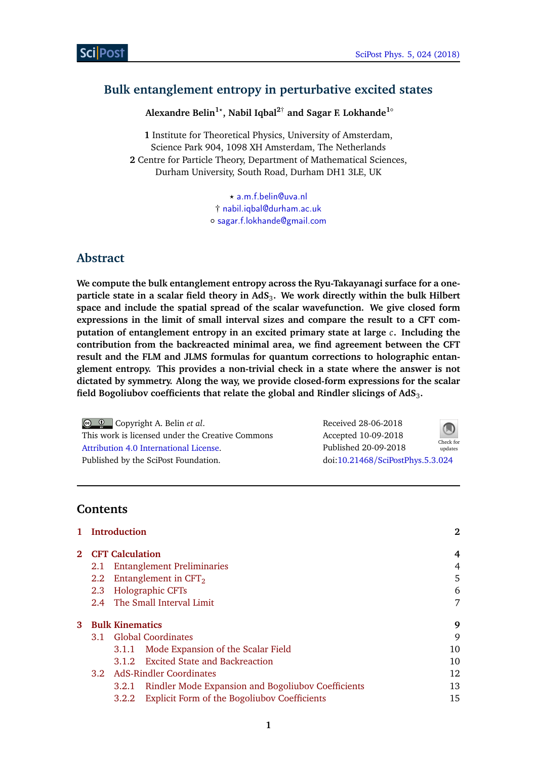# <span id="page-1-0"></span>**Bulk entanglement entropy in perturbative excited states**

**Alexandre Belin1***?* **, Nabil Iqbal2**† **and Sagar F. Lokhande1**◦

**1** Institute for Theoretical Physics, University of Amsterdam, Science Park 904, 1098 XH Amsterdam, The Netherlands **2** Centre for Particle Theory, Department of Mathematical Sciences, Durham University, South Road, Durham DH1 3LE, UK

> *?* [a.m.f.belin@uva.nl](mailto:a.m.f.belin@uva.nl) † [nabil.iqbal@durham.ac.uk](mailto:nabil.iqbal@durham.ac.uk) ◦ [sagar.f.lokhande@gmail.com](mailto:sagar.f.lokhande@gmail.com)

# **Abstract**

**We compute the bulk entanglement entropy across the Ryu-Takayanagi surface for a oneparticle state in a scalar field theory in AdS**<sup>3</sup> **. We work directly within the bulk Hilbert space and include the spatial spread of the scalar wavefunction. We give closed form expressions in the limit of small interval sizes and compare the result to a CFT computation of entanglement entropy in an excited primary state at large** *c***. Including the contribution from the backreacted minimal area, we find agreement between the CFT result and the FLM and JLMS formulas for quantum corrections to holographic entanglement entropy. This provides a non-trivial check in a state where the answer is not dictated by symmetry. Along the way, we provide closed-form expressions for the scalar field Bogoliubov coefficients that relate the global and Rindler slicings of AdS**<sup>3</sup> **.**

Copyright A. Belin *et al*. This work is licensed under the Creative Commons [Attribution 4.0 International License.](http://creativecommons.org/licenses/by/4.0/) Published by the SciPost Foundation.

Received 28-06-2018 Accepted 10-09-2018 Published 20-09-2018 updates doi:10.21468/[SciPostPhys.5.3.024](http://dx.doi.org/10.21468/SciPostPhys.5.3.024)



## **Contents**

|            | 1 Introduction<br><b>CFT</b> Calculation |       |                                                           | $\bf{2}$ |
|------------|------------------------------------------|-------|-----------------------------------------------------------|----------|
| $\bf{2}^-$ |                                          |       |                                                           | 4        |
|            | 2.1                                      |       | <b>Entanglement Preliminaries</b>                         | 4        |
|            | 2.2                                      |       | Entanglement in $CFT2$                                    | 5        |
|            | 2.3                                      |       | <b>Holographic CFTs</b>                                   | 6        |
|            |                                          |       | 2.4 The Small Interval Limit                              | 7        |
| 3          | <b>Bulk Kinematics</b>                   |       |                                                           | 9        |
|            | 3.1 Global Coordinates                   |       |                                                           | 9        |
|            |                                          | 3.1.1 | Mode Expansion of the Scalar Field                        | 10       |
|            |                                          |       | 3.1.2 Excited State and Backreaction                      | 10       |
|            | 3.2 AdS-Rindler Coordinates              |       | 12                                                        |          |
|            |                                          | 3.2.1 | <b>Rindler Mode Expansion and Bogoliubov Coefficients</b> | 13       |
|            |                                          | 3.2.2 | <b>Explicit Form of the Bogoliubov Coefficients</b>       | 15       |
|            |                                          |       |                                                           |          |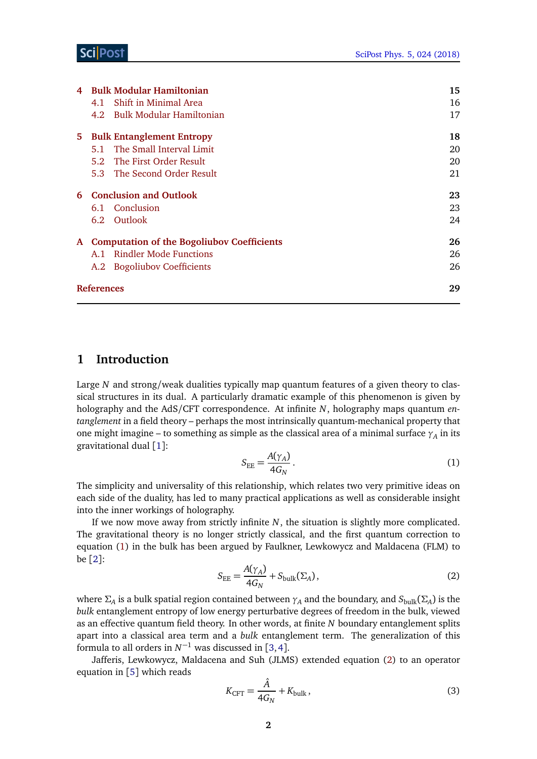| 4  |                                              | <b>Bulk Modular Hamiltonian</b> | 15 |
|----|----------------------------------------------|---------------------------------|----|
|    | 4.1                                          | Shift in Minimal Area           | 16 |
|    |                                              | 4.2 Bulk Modular Hamiltonian    | 17 |
| 5. | <b>Bulk Entanglement Entropy</b>             | 18                              |    |
|    |                                              | 5.1 The Small Interval Limit    | 20 |
|    |                                              | 5.2 The First Order Result      | 20 |
|    |                                              | 5.3 The Second Order Result     | 21 |
|    | 6 Conclusion and Outlook                     | 23                              |    |
|    |                                              | 6.1 Conclusion                  | 23 |
|    |                                              | 6.2 Outlook                     | 24 |
|    | A Computation of the Bogoliubov Coefficients | 26                              |    |
|    |                                              | A.1 Rindler Mode Functions      | 26 |
|    |                                              | A.2 Bogoliubov Coefficients     | 26 |
|    | <b>References</b>                            | 29                              |    |
|    |                                              |                                 |    |

## <span id="page-2-0"></span>**1 Introduction**

Large *N* and strong/weak dualities typically map quantum features of a given theory to classical structures in its dual. A particularly dramatic example of this phenomenon is given by holography and the AdS/CFT correspondence. At infinite *N*, holography maps quantum *entanglement* in a field theory – perhaps the most intrinsically quantum-mechanical property that one might imagine – to something as simple as the classical area of a minimal surface  $\gamma_A$  in its gravitational dual [[1](#page-29-1)]:

<span id="page-2-1"></span>
$$
S_{EE} = \frac{A(\gamma_A)}{4G_N}.
$$
 (1)

The simplicity and universality of this relationship, which relates two very primitive ideas on each side of the duality, has led to many practical applications as well as considerable insight into the inner workings of holography.

<span id="page-2-2"></span>If we now move away from strictly infinite *N*, the situation is slightly more complicated. The gravitational theory is no longer strictly classical, and the first quantum correction to equation [\(1\)](#page-2-1) in the bulk has been argued by Faulkner, Lewkowycz and Maldacena (FLM) to be [[2](#page-29-2)]:

$$
S_{\rm EE} = \frac{A(\gamma_A)}{4G_N} + S_{\rm bulk}(\Sigma_A),\tag{2}
$$

where  $\Sigma_A$  is a bulk spatial region contained between  $\gamma_A$  and the boundary, and  $S_{\text{bulk}}(\Sigma_A)$  is the *bulk* entanglement entropy of low energy perturbative degrees of freedom in the bulk, viewed as an effective quantum field theory. In other words, at finite *N* boundary entanglement splits apart into a classical area term and a *bulk* entanglement term. The generalization of this formula to all orders in  $N^{-1}$  was discussed in [[3,](#page-29-3)[4](#page-29-4)].

Jafferis, Lewkowycz, Maldacena and Suh (JLMS) extended equation [\(2\)](#page-2-2) to an operator equation in [[5](#page-29-5)] which reads

$$
K_{\text{CFT}} = \frac{\hat{A}}{4G_N} + K_{\text{bulk}},\tag{3}
$$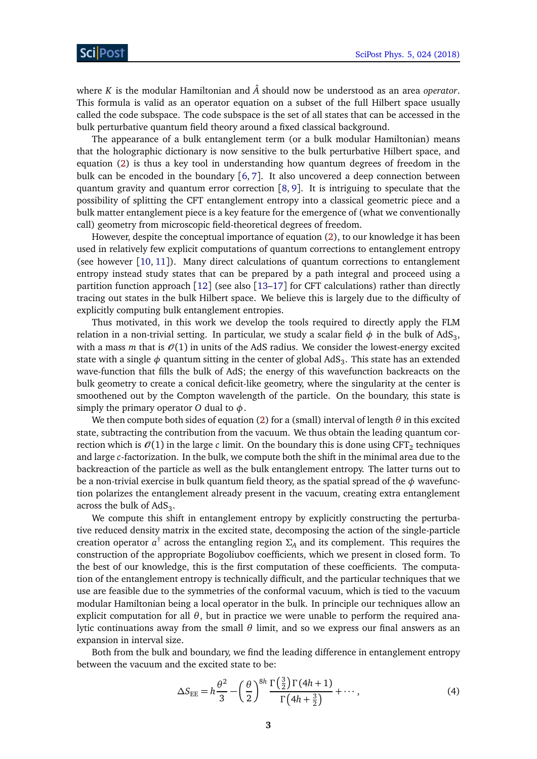where *K* is the modular Hamiltonian and *A*ˆ should now be understood as an area *operator*. This formula is valid as an operator equation on a subset of the full Hilbert space usually called the code subspace. The code subspace is the set of all states that can be accessed in the bulk perturbative quantum field theory around a fixed classical background.

The appearance of a bulk entanglement term (or a bulk modular Hamiltonian) means that the holographic dictionary is now sensitive to the bulk perturbative Hilbert space, and equation [\(2\)](#page-2-2) is thus a key tool in understanding how quantum degrees of freedom in the bulk can be encoded in the boundary [[6,](#page-29-6) [7](#page-29-7)]. It also uncovered a deep connection between quantum gravity and quantum error correction [[8,](#page-30-0) [9](#page-30-1)]. It is intriguing to speculate that the possibility of splitting the CFT entanglement entropy into a classical geometric piece and a bulk matter entanglement piece is a key feature for the emergence of (what we conventionally call) geometry from microscopic field-theoretical degrees of freedom.

However, despite the conceptual importance of equation [\(2\)](#page-2-2), to our knowledge it has been used in relatively few explicit computations of quantum corrections to entanglement entropy (see however  $[10, 11]$  $[10, 11]$  $[10, 11]$  $[10, 11]$  $[10, 11]$ ). Many direct calculations of quantum corrections to entanglement entropy instead study states that can be prepared by a path integral and proceed using a partition function approach  $\lceil 12 \rceil$  $\lceil 12 \rceil$  $\lceil 12 \rceil$  (see also  $\lceil 13-17 \rceil$  $\lceil 13-17 \rceil$  $\lceil 13-17 \rceil$  for CFT calculations) rather than directly tracing out states in the bulk Hilbert space. We believe this is largely due to the difficulty of explicitly computing bulk entanglement entropies.

Thus motivated, in this work we develop the tools required to directly apply the FLM relation in a non-trivial setting. In particular, we study a scalar field  $\phi$  in the bulk of AdS<sub>3</sub>, with a mass  $m$  that is  $O(1)$  in units of the AdS radius. We consider the lowest-energy excited state with a single  $\phi$  quantum sitting in the center of global AdS<sub>3</sub>. This state has an extended wave-function that fills the bulk of AdS; the energy of this wavefunction backreacts on the bulk geometry to create a conical deficit-like geometry, where the singularity at the center is smoothened out by the Compton wavelength of the particle. On the boundary, this state is simply the primary operator *O* dual to *φ*.

We then compute both sides of equation [\(2\)](#page-2-2) for a (small) interval of length *θ* in this excited state, subtracting the contribution from the vacuum. We thus obtain the leading quantum correction which is  $\mathcal{O}(1)$  in the large *c* limit. On the boundary this is done using CFT<sub>2</sub> techniques and large *c*-factorization. In the bulk, we compute both the shift in the minimal area due to the backreaction of the particle as well as the bulk entanglement entropy. The latter turns out to be a non-trivial exercise in bulk quantum field theory, as the spatial spread of the *φ* wavefunction polarizes the entanglement already present in the vacuum, creating extra entanglement across the bulk of  $AdS_3$ .

We compute this shift in entanglement entropy by explicitly constructing the perturbative reduced density matrix in the excited state, decomposing the action of the single-particle creation operator  $a^{\dagger}$  across the entangling region  $\Sigma_A$  and its complement. This requires the construction of the appropriate Bogoliubov coefficients, which we present in closed form. To the best of our knowledge, this is the first computation of these coefficients. The computation of the entanglement entropy is technically difficult, and the particular techniques that we use are feasible due to the symmetries of the conformal vacuum, which is tied to the vacuum modular Hamiltonian being a local operator in the bulk. In principle our techniques allow an explicit computation for all  $\theta$ , but in practice we were unable to perform the required analytic continuations away from the small *θ* limit, and so we express our final answers as an expansion in interval size.

Both from the bulk and boundary, we find the leading difference in entanglement entropy between the vacuum and the excited state to be:

<span id="page-3-0"></span>
$$
\Delta S_{\text{EE}} = h \frac{\theta^2}{3} - \left(\frac{\theta}{2}\right)^{8h} \frac{\Gamma\left(\frac{3}{2}\right) \Gamma(4h+1)}{\Gamma\left(4h+\frac{3}{2}\right)} + \cdots, \tag{4}
$$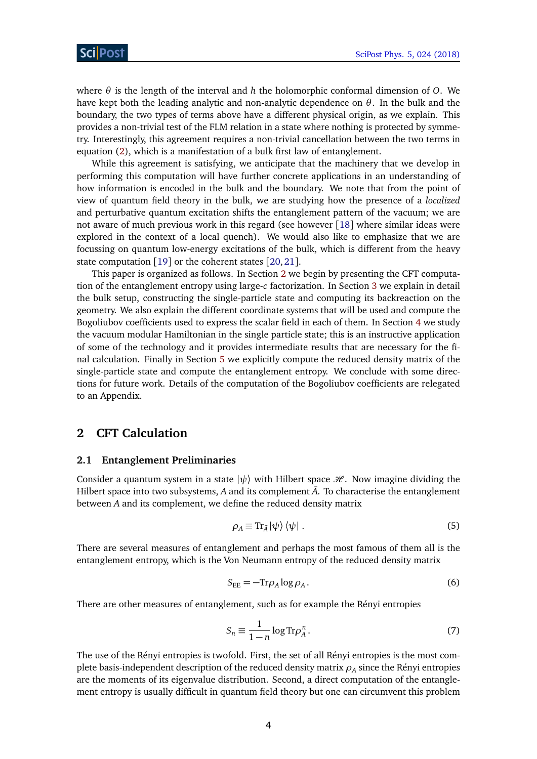where *θ* is the length of the interval and *h* the holomorphic conformal dimension of *O*. We have kept both the leading analytic and non-analytic dependence on *θ*. In the bulk and the boundary, the two types of terms above have a different physical origin, as we explain. This provides a non-trivial test of the FLM relation in a state where nothing is protected by symmetry. Interestingly, this agreement requires a non-trivial cancellation between the two terms in equation [\(2\)](#page-2-2), which is a manifestation of a bulk first law of entanglement.

While this agreement is satisfying, we anticipate that the machinery that we develop in performing this computation will have further concrete applications in an understanding of how information is encoded in the bulk and the boundary. We note that from the point of view of quantum field theory in the bulk, we are studying how the presence of a *localized* and perturbative quantum excitation shifts the entanglement pattern of the vacuum; we are not aware of much previous work in this regard (see however [[18](#page-30-7)] where similar ideas were explored in the context of a local quench). We would also like to emphasize that we are focussing on quantum low-energy excitations of the bulk, which is different from the heavy state computation [[19](#page-30-8)] or the coherent states [[20,](#page-30-9) [21](#page-30-10)].

This paper is organized as follows. In Section [2](#page-4-0) we begin by presenting the CFT computation of the entanglement entropy using large-*c* factorization. In Section [3](#page-9-0) we explain in detail the bulk setup, constructing the single-particle state and computing its backreaction on the geometry. We also explain the different coordinate systems that will be used and compute the Bogoliubov coefficients used to express the scalar field in each of them. In Section [4](#page-15-1) we study the vacuum modular Hamiltonian in the single particle state; this is an instructive application of some of the technology and it provides intermediate results that are necessary for the final calculation. Finally in Section [5](#page-18-0) we explicitly compute the reduced density matrix of the single-particle state and compute the entanglement entropy. We conclude with some directions for future work. Details of the computation of the Bogoliubov coefficients are relegated to an Appendix.

# <span id="page-4-0"></span>**2 CFT Calculation**

#### <span id="page-4-1"></span>**2.1 Entanglement Preliminaries**

Consider a quantum system in a state  $|\psi\rangle$  with Hilbert space  $\mathcal{H}$ . Now imagine dividing the Hilbert space into two subsystems,  $A$  and its complement  $\overline{A}$ . To characterise the entanglement between *A* and its complement, we define the reduced density matrix

$$
\rho_A \equiv \text{Tr}_{\bar{A}} |\psi\rangle \langle \psi| \,. \tag{5}
$$

There are several measures of entanglement and perhaps the most famous of them all is the entanglement entropy, which is the Von Neumann entropy of the reduced density matrix

$$
S_{\rm EE} = -\text{Tr}\rho_A \log \rho_A. \tag{6}
$$

There are other measures of entanglement, such as for example the Rényi entropies

$$
S_n \equiv \frac{1}{1-n} \log \text{Tr} \rho_A^n. \tag{7}
$$

The use of the Rényi entropies is twofold. First, the set of all Rényi entropies is the most complete basis-independent description of the reduced density matrix  $\rho_A$  since the Rényi entropies are the moments of its eigenvalue distribution. Second, a direct computation of the entanglement entropy is usually difficult in quantum field theory but one can circumvent this problem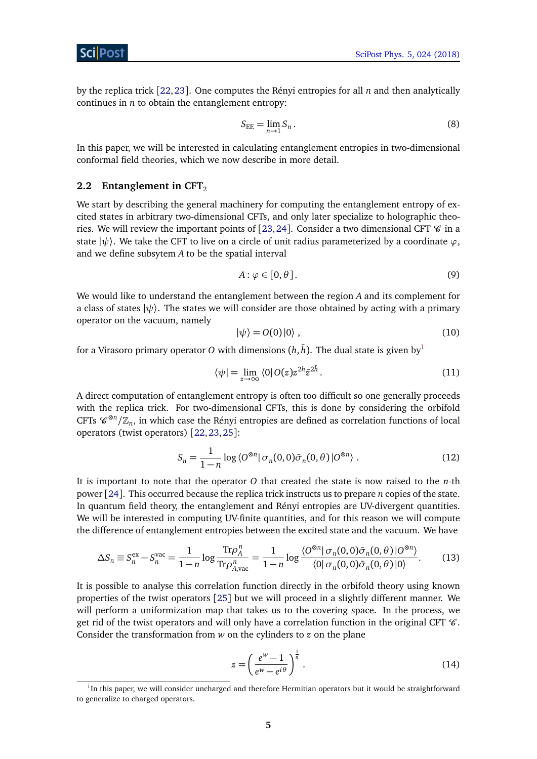by the replica trick [[22,](#page-30-11)[23](#page-31-0)]. One computes the Rényi entropies for all *n* and then analytically continues in *n* to obtain the entanglement entropy:

$$
S_{\rm EE} = \lim_{n \to 1} S_n \,. \tag{8}
$$

In this paper, we will be interested in calculating entanglement entropies in two-dimensional conformal field theories, which we now describe in more detail.

## <span id="page-5-0"></span>**2.2 Entanglement in CFT**<sub>2</sub>

We start by describing the general machinery for computing the entanglement entropy of excited states in arbitrary two-dimensional CFTs, and only later specialize to holographic theo-ries. We will review the important points of [[23,](#page-31-0) [24](#page-31-1)]. Consider a two dimensional CFT  $\mathscr C$  in a state  $|\psi\rangle$ . We take the CFT to live on a circle of unit radius parameterized by a coordinate  $\varphi$ , and we define subsytem *A* to be the spatial interval

$$
A: \varphi \in [0, \theta]. \tag{9}
$$

We would like to understand the entanglement between the region *A* and its complement for a class of states  $|\psi\rangle$ . The states we will consider are those obtained by acting with a primary operator on the vacuum, namely

<span id="page-5-1"></span>
$$
|\psi\rangle = O(0)|0\rangle , \qquad (10)
$$

for a Virasoro primary operator *O* with dimensions  $(h,\bar{h}).$  The dual state is given by $^1$  $^1$ 

$$
\langle \psi | = \lim_{z \to \infty} \langle 0 | O(z) z^{2h} \bar{z}^{2\bar{h}}. \tag{11}
$$

A direct computation of entanglement entropy is often too difficult so one generally proceeds with the replica trick. For two-dimensional CFTs, this is done by considering the orbifold CFTs  $\mathscr{C}^{\otimes n}/\mathbb{Z}_n$ , in which case the Rényi entropies are defined as correlation functions of local operators (twist operators) [[22,](#page-30-11)[23,](#page-31-0)[25](#page-31-2)]:

$$
S_n = \frac{1}{1-n} \log \langle O^{\otimes n} | \sigma_n(0,0) \bar{\sigma}_n(0,\theta) | O^{\otimes n} \rangle . \tag{12}
$$

It is important to note that the operator *O* that created the state is now raised to the *n*-th power [[24](#page-31-1)]. This occurred because the replica trick instructs us to prepare *n* copies of the state. In quantum field theory, the entanglement and Rényi entropies are UV-divergent quantities. We will be interested in computing UV-finite quantities, and for this reason we will compute the difference of entanglement entropies between the excited state and the vacuum. We have

$$
\Delta S_n \equiv S_n^{\text{ex}} - S_n^{\text{vac}} = \frac{1}{1-n} \log \frac{\text{Tr}\rho_A^n}{\text{Tr}\rho_{A,\text{vac}}^n} = \frac{1}{1-n} \log \frac{\langle O^{\otimes n} | \sigma_n(0,0)\bar{\sigma}_n(0,\theta) | O^{\otimes n} \rangle}{\langle 0 | \sigma_n(0,0)\bar{\sigma}_n(0,\theta) | 0 \rangle}.
$$
(13)

It is possible to analyse this correlation function directly in the orbifold theory using known properties of the twist operators [[25](#page-31-2)] but we will proceed in a slightly different manner. We will perform a uniformization map that takes us to the covering space. In the process, we get rid of the twist operators and will only have a correlation function in the original CFT  $\mathcal C$ . Consider the transformation from *w* on the cylinders to *z* on the plane

$$
z = \left(\frac{e^w - 1}{e^w - e^{i\theta}}\right)^{\frac{1}{n}}.\tag{14}
$$

<sup>&</sup>lt;sup>1</sup>In this paper, we will consider uncharged and therefore Hermitian operators but it would be straightforward to generalize to charged operators.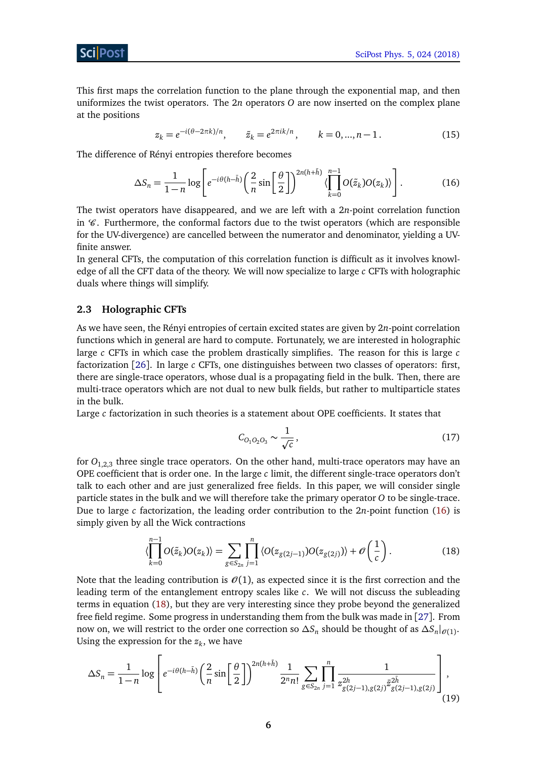This first maps the correlation function to the plane through the exponential map, and then uniformizes the twist operators. The 2*n* operators *O* are now inserted on the complex plane at the positions

<span id="page-6-1"></span>
$$
z_k = e^{-i(\theta - 2\pi k)/n}
$$
,  $\tilde{z}_k = e^{2\pi i k/n}$ ,  $k = 0, ..., n - 1$ . (15)

The difference of Rényi entropies therefore becomes

$$
\Delta S_n = \frac{1}{1-n} \log \left[ e^{-i\theta(h-\bar{h})} \left( \frac{2}{n} \sin \left[ \frac{\theta}{2} \right] \right)^{2n(h+\bar{h})} \langle \prod_{k=0}^{n-1} O(\tilde{z}_k) O(z_k) \rangle \right].
$$
 (16)

The twist operators have disappeared, and we are left with a 2*n*-point correlation function in  $\mathscr C$ . Furthermore, the conformal factors due to the twist operators (which are responsible for the UV-divergence) are cancelled between the numerator and denominator, yielding a UVfinite answer.

In general CFTs, the computation of this correlation function is difficult as it involves knowledge of all the CFT data of the theory. We will now specialize to large *c* CFTs with holographic duals where things will simplify.

### <span id="page-6-0"></span>**2.3 Holographic CFTs**

As we have seen, the Rényi entropies of certain excited states are given by 2*n*-point correlation functions which in general are hard to compute. Fortunately, we are interested in holographic large *c* CFTs in which case the problem drastically simplifies. The reason for this is large *c* factorization [[26](#page-31-3)]. In large *c* CFTs, one distinguishes between two classes of operators: first, there are single-trace operators, whose dual is a propagating field in the bulk. Then, there are multi-trace operators which are not dual to new bulk fields, but rather to multiparticle states in the bulk.

Large *c* factorization in such theories is a statement about OPE coefficients. It states that

<span id="page-6-2"></span>
$$
C_{O_1O_2O_3} \sim \frac{1}{\sqrt{c}},\tag{17}
$$

for  $O_{1,2,3}$  three single trace operators. On the other hand, multi-trace operators may have an OPE coefficient that is order one. In the large *c* limit, the different single-trace operators don't talk to each other and are just generalized free fields. In this paper, we will consider single particle states in the bulk and we will therefore take the primary operator *O* to be single-trace. Due to large *c* factorization, the leading order contribution to the 2*n*-point function [\(16\)](#page-6-1) is simply given by all the Wick contractions

<span id="page-6-3"></span>
$$
\langle \prod_{k=0}^{n-1} O(\tilde{z}_k) O(z_k) \rangle = \sum_{g \in S_{2n}} \prod_{j=1}^n \langle O(z_{g(2j-1)}) O(z_{g(2j)}) \rangle + \mathcal{O}\left(\frac{1}{c}\right). \tag{18}
$$

Note that the leading contribution is  $\mathcal{O}(1)$ , as expected since it is the first correction and the leading term of the entanglement entropy scales like *c*. We will not discuss the subleading terms in equation [\(18\)](#page-6-2), but they are very interesting since they probe beyond the generalized free field regime. Some progress in understanding them from the bulk was made in [[27](#page-31-4)]. From now on, we will restrict to the order one correction so  $\Delta S_n$  should be thought of as  $\Delta S_n|_{\mathscr{O}(1)}$ . Using the expression for the  $z_k$ , we have

$$
\Delta S_n = \frac{1}{1-n} \log \left[ e^{-i\theta(h-\bar{h})} \left( \frac{2}{n} \sin \left[ \frac{\theta}{2} \right] \right)^{2n(h+\bar{h})} \frac{1}{2^n n!} \sum_{g \in S_{2n}} \prod_{j=1}^n \frac{1}{z_{g(2j-1),g(2j)}^{2\bar{h}}} \frac{1}{\bar{z}_{g(2j-1),g(2j)}^{2\bar{h}}} \right],
$$
\n(19)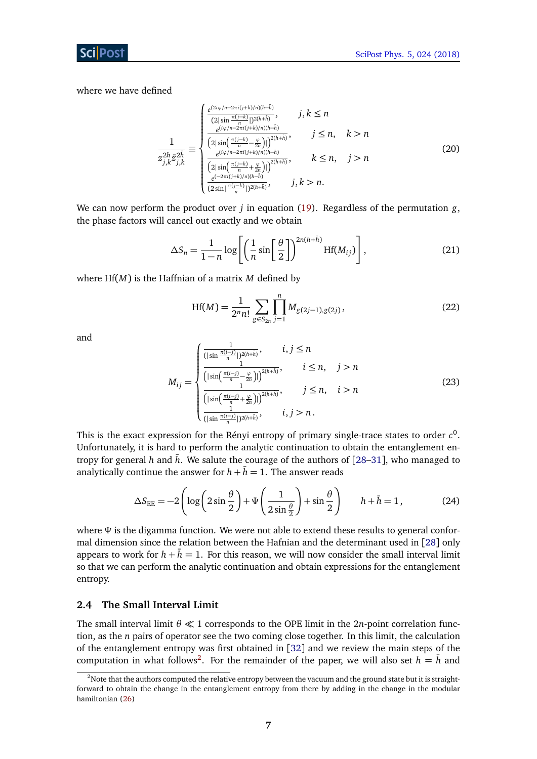where we have defined

$$
\frac{1}{z_{j,k}^{2h}} \equiv \begin{cases} \frac{e^{(2i\varphi/n - 2\pi i(j+k)/n)(h-\bar{h})}}{2|\sin(\frac{\pi(j-k)}{n})^{2(h+\bar{h})}}, & j,k \le n\\ \frac{e^{(i\varphi/n - 2\pi i(j+k)/n)(h-\bar{h})}}{2|\sin(\frac{\pi(j-k)}{n} - \frac{\varphi}{2n})|)^{2(h+\bar{h})}}, & j \le n, \quad k > n\\ \frac{e^{(i\varphi/n - 2\pi i(j+k)/n)(h-\bar{h})}}{2|\sin(\frac{\pi(j-k)}{n} + \frac{\varphi}{2n})|)^{2(h+\bar{h})}}, & k \le n, \quad j > n\\ \frac{e^{(-2\pi i(j+k)/n)(h-\bar{h})}}{(2\sin(\frac{\pi(j-k)}{n} + \frac{\varphi}{2n}))^{2(h+\bar{h})}}, & j,k > n. \end{cases}
$$
(20)

We can now perform the product over *j* in equation [\(19\)](#page-6-3). Regardless of the permutation *g*, the phase factors will cancel out exactly and we obtain

$$
\Delta S_n = \frac{1}{1-n} \log \left[ \left( \frac{1}{n} \sin \left[ \frac{\theta}{2} \right] \right)^{2n(h+\bar{h})} Hf(M_{ij}) \right], \tag{21}
$$

where Hf(*M*) is the Haffnian of a matrix *M* defined by

$$
Hf(M) = \frac{1}{2^n n!} \sum_{g \in S_{2n}} \prod_{j=1}^n M_{g(2j-1),g(2j)},
$$
\n(22)

and

$$
M_{ij} = \begin{cases} \frac{1}{\left(|\sin\frac{\pi(i-j)}{n}|\right)^{2(h+\bar{h})}}, & i, j \leq n\\ \frac{1}{\left(|\sin\left(\frac{\pi(i-j)}{n} - \frac{\varphi}{2n}\right)|\right)^{2(h+\bar{h})}}, & i \leq n, \quad j > n\\ \frac{1}{\left(|\sin\left(\frac{\pi(i-j)}{n} + \frac{\varphi}{2n}\right)|\right)^{2(h+\bar{h})}}, & j \leq n, \quad i > n\\ \frac{1}{\left(|\sin\frac{\pi(i-j)}{n}|\right)^{2(h+\bar{h})}}, & i, j > n. \end{cases}
$$
(23)

This is the exact expression for the Rényi entropy of primary single-trace states to order  $c^0$ . Unfortunately, it is hard to perform the analytic continuation to obtain the entanglement entropy for general *h* and  $\bar{h}$ . We salute the courage of the authors of [[28–](#page-31-5)[31](#page-31-6)], who managed to analytically continue the answer for  $h + \bar{h} = 1$ . The answer reads

$$
\Delta S_{\rm EE} = -2\left(\log\left(2\sin\frac{\theta}{2}\right) + \Psi\left(\frac{1}{2\sin\frac{\theta}{2}}\right) + \sin\frac{\theta}{2}\right) \qquad h + \bar{h} = 1,\tag{24}
$$

where *Ψ* is the digamma function. We were not able to extend these results to general conformal dimension since the relation between the Hafnian and the determinant used in [[28](#page-31-5)] only appears to work for  $h + \bar{h} = 1$ . For this reason, we will now consider the small interval limit so that we can perform the analytic continuation and obtain expressions for the entanglement entropy.

#### <span id="page-7-0"></span>**2.4 The Small Interval Limit**

The small interval limit  $\theta \ll 1$  corresponds to the OPE limit in the 2*n*-point correlation function, as the *n* pairs of operator see the two coming close together. In this limit, the calculation of the entanglement entropy was first obtained in [[32](#page-31-7)] and we review the main steps of the computation in what follows<sup>[2](#page-1-0)</sup>. For the remainder of the paper, we will also set  $h = \overline{h}$  and

 $2$ Note that the authors computed the relative entropy between the vacuum and the ground state but it is straightforward to obtain the change in the entanglement entropy from there by adding in the change in the modular hamiltonian [\(26\)](#page-8-0)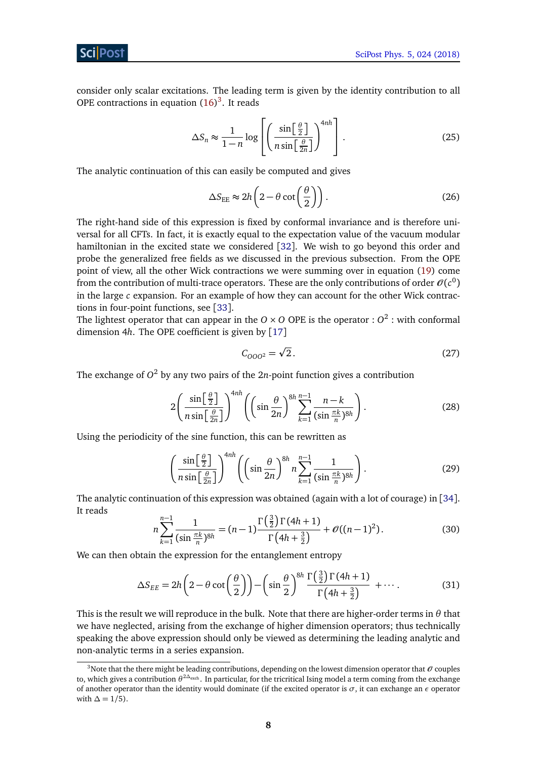consider only scalar excitations. The leading term is given by the identity contribution to all OPE contractions in equation  $(16)^3$  $(16)^3$  $(16)^3$ . It reads

$$
\Delta S_n \approx \frac{1}{1-n} \log \left[ \left( \frac{\sin \left[ \frac{\theta}{2} \right]}{n \sin \left[ \frac{\theta}{2n} \right]} \right)^{4nh} \right].
$$
 (25)

The analytic continuation of this can easily be computed and gives

<span id="page-8-0"></span>
$$
\Delta S_{\rm EE} \approx 2h \left( 2 - \theta \cot \left( \frac{\theta}{2} \right) \right). \tag{26}
$$

The right-hand side of this expression is fixed by conformal invariance and is therefore universal for all CFTs. In fact, it is exactly equal to the expectation value of the vacuum modular hamiltonian in the excited state we considered [[32](#page-31-7)]. We wish to go beyond this order and probe the generalized free fields as we discussed in the previous subsection. From the OPE point of view, all the other Wick contractions we were summing over in equation [\(19\)](#page-6-3) come from the contribution of multi-trace operators. These are the only contributions of order  $\mathcal{O}(c^0)$ in the large *c* expansion. For an example of how they can account for the other Wick contractions in four-point functions, see [[33](#page-31-8)].

The lightest operator that can appear in the  $O \times O$  OPE is the operator :  $O^2$  : with conformal dimension 4*h*. The OPE coefficient is given by [[17](#page-30-6)]

$$
C_{000^2} = \sqrt{2}.
$$
 (27)

The exchange of  $O^2$  by any two pairs of the 2*n*-point function gives a contribution

$$
2\left(\frac{\sin\left[\frac{\theta}{2}\right]}{n\sin\left[\frac{\theta}{2n}\right]}\right)^{4nh}\left(\left(\sin\frac{\theta}{2n}\right)^{8h}\sum_{k=1}^{n-1}\frac{n-k}{(\sin\frac{\pi k}{n})^{8h}}\right).
$$
\n(28)

Using the periodicity of the sine function, this can be rewritten as

$$
\left(\frac{\sin\left[\frac{\theta}{2}\right]}{n\sin\left[\frac{\theta}{2n}\right]}\right)^{4nh} \left(\left(\sin\frac{\theta}{2n}\right)^{8h} n\sum_{k=1}^{n-1} \frac{1}{(\sin\frac{\pi k}{n})^{8h}}\right). \tag{29}
$$

The analytic continuation of this expression was obtained (again with a lot of courage) in [[34](#page-31-9)]. It reads

<span id="page-8-1"></span>
$$
n\sum_{k=1}^{n-1} \frac{1}{(\sin \frac{\pi k}{n})^{8h}} = (n-1)\frac{\Gamma(\frac{3}{2})\Gamma(4h+1)}{\Gamma(4h+\frac{3}{2})} + \mathcal{O}((n-1)^2). \tag{30}
$$

We can then obtain the expression for the entanglement entropy

$$
\Delta S_{EE} = 2h\left(2 - \theta \cot\left(\frac{\theta}{2}\right)\right) - \left(\sin\frac{\theta}{2}\right)^{8h} \frac{\Gamma\left(\frac{3}{2}\right)\Gamma(4h+1)}{\Gamma(4h+\frac{3}{2})} + \cdots. \tag{31}
$$

This is the result we will reproduce in the bulk. Note that there are higher-order terms in *θ* that we have neglected, arising from the exchange of higher dimension operators; thus technically speaking the above expression should only be viewed as determining the leading analytic and non-analytic terms in a series expansion.

<sup>&</sup>lt;sup>3</sup>Note that the there might be leading contributions, depending on the lowest dimension operator that  $\theta$  couples to, which gives a contribution *θ* <sup>2</sup>*∆*exch . In particular, for the tricritical Ising model a term coming from the exchange of another operator than the identity would dominate (if the excited operator is  $\sigma$ , it can exchange an  $\epsilon$  operator with  $\Delta = 1/5$ ).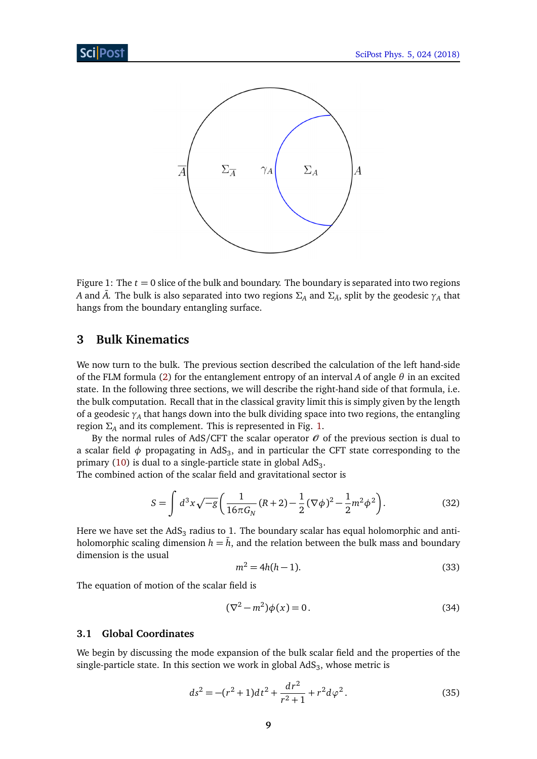<span id="page-9-2"></span>

Figure 1: The  $t = 0$  slice of the bulk and boundary. The boundary is separated into two regions *A* and  $\bar{A}$ . The bulk is also separated into two regions  $\Sigma_A$  and  $\Sigma_{\bar{A}}$ , split by the geodesic  $\gamma_A$  that hangs from the boundary entangling surface.

# <span id="page-9-0"></span>**3 Bulk Kinematics**

We now turn to the bulk. The previous section described the calculation of the left hand-side of the FLM formula [\(2\)](#page-2-2) for the entanglement entropy of an interval *A* of angle *θ* in an excited state. In the following three sections, we will describe the right-hand side of that formula, i.e. the bulk computation. Recall that in the classical gravity limit this is simply given by the length of a geodesic *γ<sup>A</sup>* that hangs down into the bulk dividing space into two regions, the entangling region  $\Sigma$ <sub>*A*</sub> and its complement. This is represented in Fig. [1.](#page-9-2)

By the normal rules of AdS/CFT the scalar operator  $\mathcal O$  of the previous section is dual to a scalar field  $\phi$  propagating in AdS<sub>3</sub>, and in particular the CFT state corresponding to the primary [\(10\)](#page-5-1) is dual to a single-particle state in global  $\mathrm{AdS}_3.$ 

The combined action of the scalar field and gravitational sector is

$$
S = \int d^3x \sqrt{-g} \left( \frac{1}{16\pi G_N} (R+2) - \frac{1}{2} (\nabla \phi)^2 - \frac{1}{2} m^2 \phi^2 \right).
$$
 (32)

Here we have set the AdS $_3$  radius to 1. The boundary scalar has equal holomorphic and antiholomorphic scaling dimension  $h = \bar{h}$ , and the relation between the bulk mass and boundary dimension is the usual

$$
m^2 = 4h(h-1).
$$
 (33)

The equation of motion of the scalar field is

$$
(\nabla^2 - m^2)\phi(x) = 0.
$$
\n(34)

## <span id="page-9-1"></span>**3.1 Global Coordinates**

We begin by discussing the mode expansion of the bulk scalar field and the properties of the single-particle state. In this section we work in global  $\mathrm{AdS}_3$ , whose metric is

$$
ds^{2} = -(r^{2} + 1)dt^{2} + \frac{dr^{2}}{r^{2} + 1} + r^{2}d\varphi^{2}.
$$
 (35)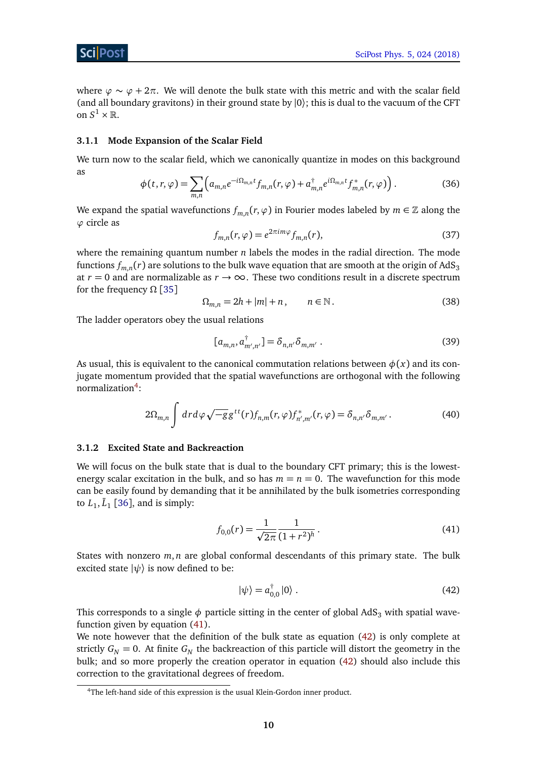

where  $\varphi \sim \varphi + 2\pi$ . We will denote the bulk state with this metric and with the scalar field (and all boundary gravitons) in their ground state by  $|0\rangle$ ; this is dual to the vacuum of the CFT on  $S^1 \times \mathbb{R}$ .

#### <span id="page-10-0"></span>**3.1.1 Mode Expansion of the Scalar Field**

We turn now to the scalar field, which we canonically quantize in modes on this background as

$$
\phi(t,r,\varphi) = \sum_{m,n} \left( a_{m,n} e^{-i\Omega_{m,n}t} f_{m,n}(r,\varphi) + a_{m,n}^\dagger e^{i\Omega_{m,n}t} f_{m,n}^*(r,\varphi) \right). \tag{36}
$$

We expand the spatial wavefunctions  $f_{m,n}(r,\varphi)$  in Fourier modes labeled by  $m\in\mathbb{Z}$  along the *ϕ* circle as

$$
f_{m,n}(r,\varphi) = e^{2\pi i m\varphi} f_{m,n}(r),\tag{37}
$$

where the remaining quantum number *n* labels the modes in the radial direction. The mode functions  $f_{m,n}(r)$  are solutions to the bulk wave equation that are smooth at the origin of AdS $_3$ at  $r = 0$  and are normalizable as  $r \to \infty$ . These two conditions result in a discrete spectrum for the frequency *Ω* [[35](#page-31-10)]

$$
\Omega_{m,n} = 2h + |m| + n, \qquad n \in \mathbb{N}.
$$
\n(38)

The ladder operators obey the usual relations

<span id="page-10-4"></span>
$$
[a_{m,n}, a_{m',n'}^{\dagger}] = \delta_{n,n'}\delta_{m,m'}.
$$
 (39)

As usual, this is equivalent to the canonical commutation relations between  $\phi(x)$  and its conjugate momentum provided that the spatial wavefunctions are orthogonal with the following normalization<sup>[4](#page-1-0)</sup>:

$$
2\Omega_{m,n}\int dr d\varphi \sqrt{-g}g^{tt}(r)f_{n,m}(r,\varphi)f_{n',m'}^*(r,\varphi)=\delta_{n,n'}\delta_{m,m'}.
$$
\n(40)

#### <span id="page-10-1"></span>**3.1.2 Excited State and Backreaction**

We will focus on the bulk state that is dual to the boundary CFT primary; this is the lowestenergy scalar excitation in the bulk, and so has  $m = n = 0$ . The wavefunction for this mode can be easily found by demanding that it be annihilated by the bulk isometries corresponding to  $L_1$ ,  $\bar{L}_1$  [[36](#page-31-11)], and is simply:

<span id="page-10-2"></span>
$$
f_{0,0}(r) = \frac{1}{\sqrt{2\pi}} \frac{1}{(1+r^2)^h} \,. \tag{41}
$$

States with nonzero *m*, *n* are global conformal descendants of this primary state. The bulk excited state  $|\psi\rangle$  is now defined to be:

<span id="page-10-3"></span>
$$
|\psi\rangle = a_{0,0}^{\dagger} |0\rangle . \tag{42}
$$

This corresponds to a single  $\phi$  particle sitting in the center of global AdS<sub>3</sub> with spatial wavefunction given by equation [\(41\)](#page-10-2).

We note however that the definition of the bulk state as equation [\(42\)](#page-10-3) is only complete at strictly  $G_N = 0$ . At finite  $G_N$  the backreaction of this particle will distort the geometry in the bulk; and so more properly the creation operator in equation [\(42\)](#page-10-3) should also include this correction to the gravitational degrees of freedom.

<sup>&</sup>lt;sup>4</sup>The left-hand side of this expression is the usual Klein-Gordon inner product.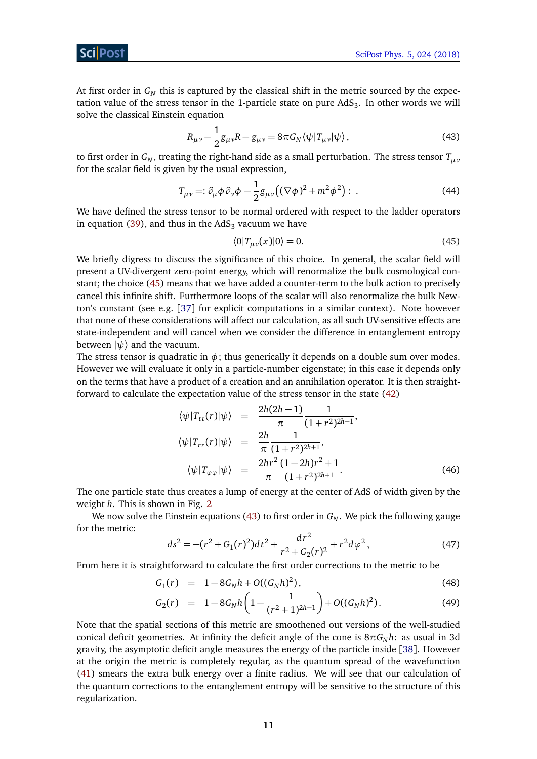At first order in  $G_N$  this is captured by the classical shift in the metric sourced by the expectation value of the stress tensor in the 1-particle state on pure  $\mathrm{AdS}_3.$  In other words we will solve the classical Einstein equation

<span id="page-11-1"></span>
$$
R_{\mu\nu} - \frac{1}{2}g_{\mu\nu}R - g_{\mu\nu} = 8\pi G_N \langle \psi | T_{\mu\nu} | \psi \rangle, \qquad (43)
$$

to first order in  $G_N$ , treating the right-hand side as a small perturbation. The stress tensor  $T_{\mu\nu}$ for the scalar field is given by the usual expression,

$$
T_{\mu\nu} =: \partial_{\mu}\phi \partial_{\nu}\phi - \frac{1}{2}g_{\mu\nu}\left((\nabla\phi)^2 + m^2\phi^2\right): \tag{44}
$$

We have defined the stress tensor to be normal ordered with respect to the ladder operators in equation [\(39\)](#page-10-4), and thus in the  $AdS<sub>3</sub>$  vacuum we have

<span id="page-11-3"></span><span id="page-11-0"></span>
$$
\langle 0|T_{\mu\nu}(x)|0\rangle = 0.\tag{45}
$$

We briefly digress to discuss the significance of this choice. In general, the scalar field will present a UV-divergent zero-point energy, which will renormalize the bulk cosmological constant; the choice [\(45\)](#page-11-0) means that we have added a counter-term to the bulk action to precisely cancel this infinite shift. Furthermore loops of the scalar will also renormalize the bulk Newton's constant (see e.g. [[37](#page-31-12)] for explicit computations in a similar context). Note however that none of these considerations will affect our calculation, as all such UV-sensitive effects are state-independent and will cancel when we consider the difference in entanglement entropy between  $|\psi\rangle$  and the vacuum.

The stress tensor is quadratic in  $\phi$ ; thus generically it depends on a double sum over modes. However we will evaluate it only in a particle-number eigenstate; in this case it depends only on the terms that have a product of a creation and an annihilation operator. It is then straightforward to calculate the expectation value of the stress tensor in the state [\(42\)](#page-10-3)

<span id="page-11-4"></span>
$$
\langle \psi | T_{tt}(r) | \psi \rangle = \frac{2h(2h-1)}{\pi} \frac{1}{(1+r^2)^{2h-1}},
$$
  

$$
\langle \psi | T_{rr}(r) | \psi \rangle = \frac{2h}{\pi} \frac{1}{(1+r^2)^{2h+1}},
$$
  

$$
\langle \psi | T_{\varphi\varphi} | \psi \rangle = \frac{2hr^2}{\pi} \frac{(1-2h)r^2+1}{(1+r^2)^{2h+1}}.
$$
 (46)

The one particle state thus creates a lump of energy at the center of AdS of width given by the weight *h*. This is shown in Fig. [2](#page-12-1)

We now solve the Einstein equations [\(43\)](#page-11-1) to first order in  $G_N$ . We pick the following gauge for the metric:

<span id="page-11-2"></span>
$$
ds^{2} = -(r^{2} + G_{1}(r)^{2})dt^{2} + \frac{dr^{2}}{r^{2} + G_{2}(r)^{2}} + r^{2}d\varphi^{2},
$$
\n(47)

From here it is straightforward to calculate the first order corrections to the metric to be

$$
G_1(r) = 1 - 8G_N h + O((G_N h)^2), \tag{48}
$$

$$
G_2(r) = 1 - 8G_N h \left( 1 - \frac{1}{(r^2 + 1)^{2h-1}} \right) + O((G_N h)^2).
$$
 (49)

Note that the spatial sections of this metric are smoothened out versions of the well-studied conical deficit geometries. At infinity the deficit angle of the cone is  $8\pi G_N h$ : as usual in 3d gravity, the asymptotic deficit angle measures the energy of the particle inside [[38](#page-32-0)]. However at the origin the metric is completely regular, as the quantum spread of the wavefunction [\(41\)](#page-10-2) smears the extra bulk energy over a finite radius. We will see that our calculation of the quantum corrections to the entanglement entropy will be sensitive to the structure of this regularization.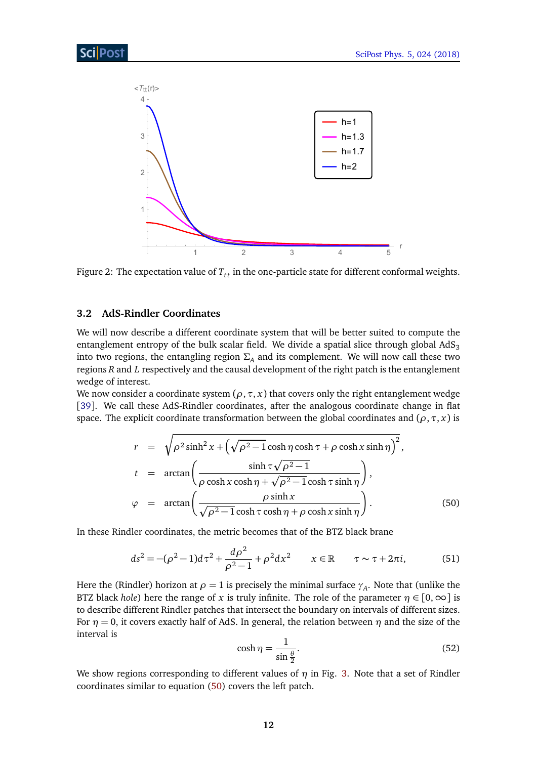<span id="page-12-1"></span>

Figure 2: The expectation value of  $T_{tt}$  in the one-particle state for different conformal weights.

## <span id="page-12-0"></span>**3.2 AdS-Rindler Coordinates**

We will now describe a different coordinate system that will be better suited to compute the entanglement entropy of the bulk scalar field. We divide a spatial slice through global  $AdS<sub>3</sub>$ into two regions, the entangling region  $\Sigma_A$  and its complement. We will now call these two regions *R* and *L* respectively and the causal development of the right patch is the entanglement wedge of interest.

We now consider a coordinate system  $(\rho, \tau, x)$  that covers only the right entanglement wedge [[39](#page-32-1)]. We call these AdS-Rindler coordinates, after the analogous coordinate change in flat space. The explicit coordinate transformation between the global coordinates and  $(\rho, \tau, x)$  is

<span id="page-12-2"></span>
$$
r = \sqrt{\rho^2 \sinh^2 x + \left(\sqrt{\rho^2 - 1} \cosh \eta \cosh \tau + \rho \cosh x \sinh \eta\right)^2},
$$
  
\n
$$
t = \arctan\left(\frac{\sinh \tau \sqrt{\rho^2 - 1}}{\rho \cosh x \cosh \eta + \sqrt{\rho^2 - 1} \cosh \tau \sinh \eta}\right),
$$
  
\n
$$
\varphi = \arctan\left(\frac{\rho \sinh x}{\sqrt{\rho^2 - 1} \cosh \tau \cosh \eta + \rho \cosh x \sinh \eta}\right).
$$
(50)

In these Rindler coordinates, the metric becomes that of the BTZ black brane

$$
ds^{2} = -(\rho^{2} - 1)d\tau^{2} + \frac{d\rho^{2}}{\rho^{2} - 1} + \rho^{2}dx^{2} \qquad x \in \mathbb{R} \qquad \tau \sim \tau + 2\pi i,
$$
 (51)

<span id="page-12-4"></span>Here the (Rindler) horizon at  $\rho = 1$  is precisely the minimal surface  $\gamma_A$ . Note that (unlike the BTZ black *hole*) here the range of *x* is truly infinite. The role of the parameter  $\eta \in [0, \infty]$  is to describe different Rindler patches that intersect the boundary on intervals of different sizes. For  $\eta = 0$ , it covers exactly half of AdS. In general, the relation between  $\eta$  and the size of the interval is

<span id="page-12-3"></span>
$$
\cosh \eta = \frac{1}{\sin \frac{\theta}{2}}.\tag{52}
$$

We show regions corresponding to different values of *η* in Fig. [3.](#page-13-1) Note that a set of Rindler coordinates similar to equation [\(50\)](#page-12-2) covers the left patch.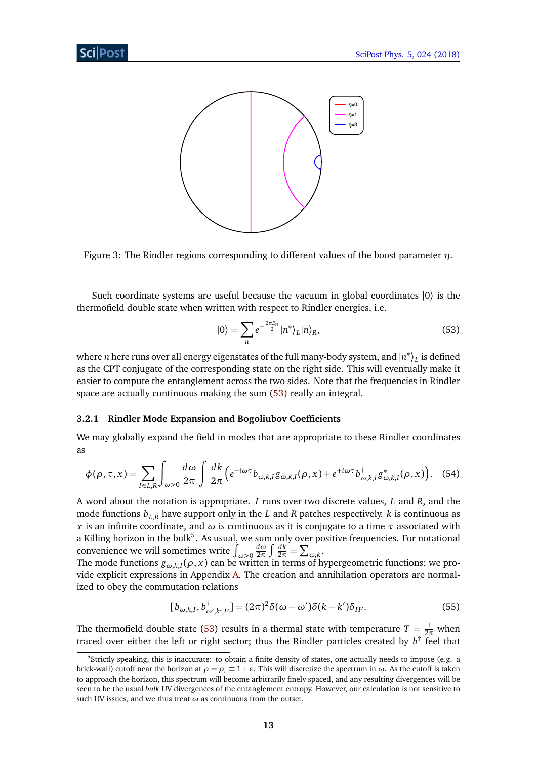<span id="page-13-1"></span>



Such coordinate systems are useful because the vacuum in global coordinates |0〉 is the thermofield double state when written with respect to Rindler energies, i.e.

<span id="page-13-2"></span>
$$
|0\rangle = \sum_{n} e^{-\frac{2\pi E_n}{2}} |n^*\rangle_L |n\rangle_R, \tag{53}
$$

where  $n$  here runs over all energy eigenstates of the full many-body system, and  $\ket{n^*}_L$  is defined as the CPT conjugate of the corresponding state on the right side. This will eventually make it easier to compute the entanglement across the two sides. Note that the frequencies in Rindler space are actually continuous making the sum [\(53\)](#page-13-2) really an integral.

### <span id="page-13-0"></span>**3.2.1 Rindler Mode Expansion and Bogoliubov Coefficients**

We may globally expand the field in modes that are appropriate to these Rindler coordinates as

$$
\phi(\rho,\tau,x) = \sum_{I \in L,R} \int_{\omega>0} \frac{d\omega}{2\pi} \int \frac{dk}{2\pi} \left( e^{-i\omega\tau} b_{\omega,k,I} g_{\omega,k,I}(\rho,x) + e^{+i\omega\tau} b_{\omega,k,I}^{\dagger} g_{\omega,k,I}^*(\rho,x) \right). \tag{54}
$$

A word about the notation is appropriate. *I* runs over two discrete values, *L* and *R*, and the mode functions  $b_{LR}$  have support only in the *L* and *R* patches respectively. *k* is continuous as *x* is an infinite coordinate, and  $\omega$  is continuous as it is conjugate to a time  $\tau$  associated with a Killing horizon in the bulk<sup>[5](#page-1-0)</sup>. As usual, we sum only over positive frequencies. For notational convenience we will sometimes write  $\int_{\omega>0}$ *dω*  $rac{d\omega}{2\pi}$   $\int \frac{dk}{2\pi} = \sum_{\omega,k}$ .

The mode functions *gω*,*k*,*<sup>I</sup>* (*ρ*, *x*) can be written in terms of hypergeometric functions; we provide explicit expressions in Appendix [A.](#page-26-0) The creation and annihilation operators are normalized to obey the commutation relations

<span id="page-13-3"></span>
$$
[b_{\omega,k,I}, b^{\dagger}_{\omega',k',I'}] = (2\pi)^2 \delta(\omega - \omega') \delta(k - k') \delta_{II'}.
$$
\n(55)

The thermofield double state [\(53\)](#page-13-2) results in a thermal state with temperature  $T = \frac{1}{2\pi}$  when traced over either the left or right sector; thus the Rindler particles created by  $b^{\dagger}$  feel that

 $5$ Strictly speaking, this is inaccurate: to obtain a finite density of states, one actually needs to impose (e.g. a brick-wall) cutoff near the horizon at  $\rho = \rho_c \equiv 1 + \epsilon$ . This will discretize the spectrum in *ω*. As the cutoff is taken to approach the horizon, this spectrum will become arbitrarily finely spaced, and any resulting divergences will be seen to be the usual *bulk* UV divergences of the entanglement entropy. However, our calculation is not sensitive to such UV issues, and we thus treat *ω* as continuous from the outset.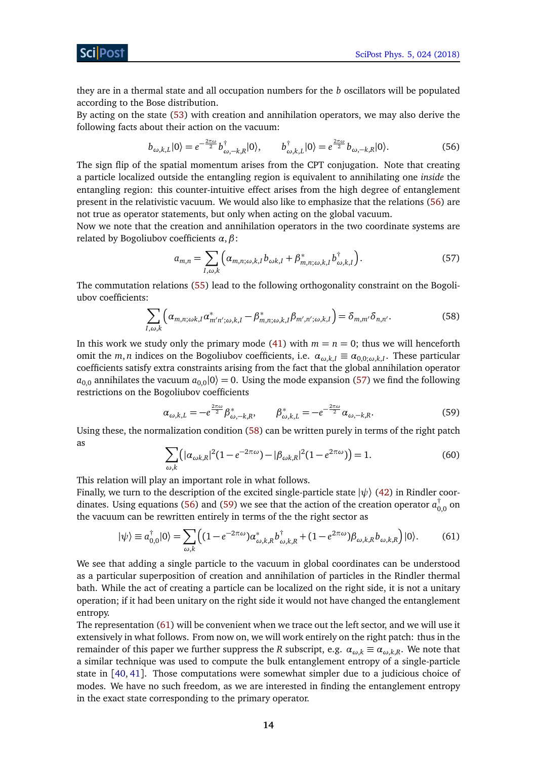they are in a thermal state and all occupation numbers for the *b* oscillators will be populated according to the Bose distribution.

By acting on the state [\(53\)](#page-13-2) with creation and annihilation operators, we may also derive the following facts about their action on the vacuum:

<span id="page-14-0"></span>
$$
b_{\omega,k,L}|0\rangle = e^{-\frac{2\pi\omega}{2}}b^{\dagger}_{\omega,-k,R}|0\rangle, \qquad b^{\dagger}_{\omega,k,L}|0\rangle = e^{\frac{2\pi\omega}{2}}b_{\omega,-k,R}|0\rangle. \tag{56}
$$

The sign flip of the spatial momentum arises from the CPT conjugation. Note that creating a particle localized outside the entangling region is equivalent to annihilating one *inside* the entangling region: this counter-intuitive effect arises from the high degree of entanglement present in the relativistic vacuum. We would also like to emphasize that the relations [\(56\)](#page-14-0) are not true as operator statements, but only when acting on the global vacuum.

Now we note that the creation and annihilation operators in the two coordinate systems are related by Bogoliubov coefficients *α*,*β*:

<span id="page-14-1"></span>
$$
a_{m,n} = \sum_{I,\omega,k} \left( \alpha_{m,n;\omega,k,I} b_{\omega k,I} + \beta_{m,n;\omega,k,I}^* b_{\omega,k,I}^\dagger \right). \tag{57}
$$

The commutation relations [\(55\)](#page-13-3) lead to the following orthogonality constraint on the Bogoliubov coefficients:

<span id="page-14-2"></span>
$$
\sum_{I,\omega,k} \left( \alpha_{m,n;\omega k,I} \alpha^*_{m'n';\omega,k,I} - \beta^*_{m,n;\omega,k,I} \beta_{m',n';\omega,k,I} \right) = \delta_{m,m'} \delta_{n,n'}.
$$
 (58)

In this work we study only the primary mode [\(41\)](#page-10-2) with  $m = n = 0$ ; thus we will henceforth omit the *m*, *n* indices on the Bogoliubov coefficients, i.e.  $\alpha_{\omega,k,I} \equiv \alpha_{0,0;\omega,k,I}$ . These particular coefficients satisfy extra constraints arising from the fact that the global annihilation operator  $a_{0,0}$  annihilates the vacuum  $a_{0,0}|0\rangle = 0$ . Using the mode expansion [\(57\)](#page-14-1) we find the following restrictions on the Bogoliubov coefficients

<span id="page-14-3"></span>
$$
\alpha_{\omega,k,L} = -e^{\frac{2\pi\omega}{2}} \beta_{\omega,-k,R}^*, \qquad \beta_{\omega,k,L}^* = -e^{-\frac{2\pi\omega}{2}} \alpha_{\omega,-k,R}.
$$
\n(59)

<span id="page-14-5"></span>Using these, the normalization condition [\(58\)](#page-14-2) can be written purely in terms of the right patch as

<span id="page-14-4"></span>
$$
\sum_{\omega,k} \left( |\alpha_{\omega k,R}|^2 (1 - e^{-2\pi \omega}) - |\beta_{\omega k,R}|^2 (1 - e^{2\pi \omega}) \right) = 1.
$$
 (60)

This relation will play an important role in what follows.

Finally, we turn to the description of the excited single-particle state  $|\psi\rangle$  [\(42\)](#page-10-3) in Rindler coor-dinates. Using equations [\(56\)](#page-14-0) and [\(59\)](#page-14-3) we see that the action of the creation operator  $a_{0,0}^\dagger$  on the vacuum can be rewritten entirely in terms of the the right sector as

$$
|\psi\rangle \equiv a_{0,0}^{\dagger}|0\rangle = \sum_{\omega,k} \left( (1 - e^{-2\pi\omega}) \alpha_{\omega,k,R}^* b_{\omega,k,R}^{\dagger} + (1 - e^{2\pi\omega}) \beta_{\omega,k,R} b_{\omega,k,R} \right) |0\rangle. \tag{61}
$$

We see that adding a single particle to the vacuum in global coordinates can be understood as a particular superposition of creation and annihilation of particles in the Rindler thermal bath. While the act of creating a particle can be localized on the right side, it is not a unitary operation; if it had been unitary on the right side it would not have changed the entanglement entropy.

The representation [\(61\)](#page-14-4) will be convenient when we trace out the left sector, and we will use it extensively in what follows. From now on, we will work entirely on the right patch: thus in the remainder of this paper we further suppress the *R* subscript, e.g.  $\alpha_{\omega,k} \equiv \alpha_{\omega,k,R}$ . We note that a similar technique was used to compute the bulk entanglement entropy of a single-particle state in [[40,](#page-32-2) [41](#page-32-3)]. Those computations were somewhat simpler due to a judicious choice of modes. We have no such freedom, as we are interested in finding the entanglement entropy in the exact state corresponding to the primary operator.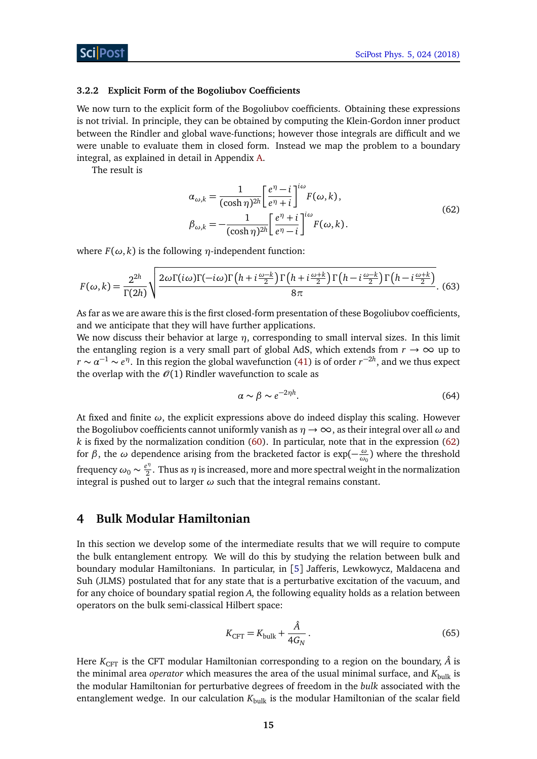#### <span id="page-15-0"></span>**3.2.2 Explicit Form of the Bogoliubov Coefficients**

We now turn to the explicit form of the Bogoliubov coefficients. Obtaining these expressions is not trivial. In principle, they can be obtained by computing the Klein-Gordon inner product between the Rindler and global wave-functions; however those integrals are difficult and we were unable to evaluate them in closed form. Instead we map the problem to a boundary integral, as explained in detail in Appendix [A.](#page-26-0)

The result is

<span id="page-15-2"></span>
$$
\alpha_{\omega,k} = \frac{1}{(\cosh \eta)^{2h}} \left[ \frac{e^{\eta} - i}{e^{\eta} + i} \right]^{i\omega} F(\omega, k),
$$
  

$$
\beta_{\omega,k} = -\frac{1}{(\cosh \eta)^{2h}} \left[ \frac{e^{\eta} + i}{e^{\eta} - i} \right]^{i\omega} F(\omega, k).
$$
 (62)

where  $F(\omega, k)$  is the following  $\eta$ -independent function:

$$
F(\omega,k) = \frac{2^{2h}}{\Gamma(2h)} \sqrt{\frac{2\omega\Gamma(i\omega)\Gamma(-i\omega)\Gamma\left(h+i\frac{\omega-k}{2}\right)\Gamma\left(h+i\frac{\omega+k}{2}\right)\Gamma\left(h-i\frac{\omega-k}{2}\right)\Gamma\left(h-i\frac{\omega+k}{2}\right)}{8\pi}}.
$$
(63)

As far as we are aware this is the first closed-form presentation of these Bogoliubov coefficients, and we anticipate that they will have further applications.

We now discuss their behavior at large *η*, corresponding to small interval sizes. In this limit the entangling region is a very small part of global AdS, which extends from  $r \to \infty$  up to  $r \sim \alpha^{-1} \sim e^{\eta}$ . In this region the global wavefunction [\(41\)](#page-10-2) is of order  $r^{-2h}$ , and we thus expect the overlap with the  $\mathcal{O}(1)$  Rindler wavefunction to scale as

$$
\alpha \sim \beta \sim e^{-2\eta h}.\tag{64}
$$

At fixed and finite *ω*, the explicit expressions above do indeed display this scaling. However the Bogoliubov coefficients cannot uniformly vanish as *η* → ∞, as their integral over all *ω* and *k* is fixed by the normalization condition [\(60\)](#page-14-5). In particular, note that in the expression [\(62\)](#page-15-2) for *β*, the *ω* dependence arising from the bracketed factor is exp(− *ω*  $\frac{\omega}{\omega_0}$ ) where the threshold frequency  $\omega_0 \sim \frac{e^{\eta}}{2}$  $\frac{2^{n}}{2}$ . Thus as  $\eta$  is increased, more and more spectral weight in the normalization integral is pushed out to larger  $\omega$  such that the integral remains constant.

# <span id="page-15-1"></span>**4 Bulk Modular Hamiltonian**

In this section we develop some of the intermediate results that we will require to compute the bulk entanglement entropy. We will do this by studying the relation between bulk and boundary modular Hamiltonians. In particular, in [[5](#page-29-5)] Jafferis, Lewkowycz, Maldacena and Suh (JLMS) postulated that for any state that is a perturbative excitation of the vacuum, and for any choice of boundary spatial region *A*, the following equality holds as a relation between operators on the bulk semi-classical Hilbert space:

<span id="page-15-3"></span>
$$
K_{\text{CFT}} = K_{\text{bulk}} + \frac{\hat{A}}{4G_N} \,. \tag{65}
$$

Here  $K_{\text{CFT}}$  is the CFT modular Hamiltonian corresponding to a region on the boundary,  $\hat{A}$  is the minimal area *operator* which measures the area of the usual minimal surface, and  $K_{\text{bulk}}$  is the modular Hamiltonian for perturbative degrees of freedom in the *bulk* associated with the entanglement wedge. In our calculation  $K_{\text{bulk}}$  is the modular Hamiltonian of the scalar field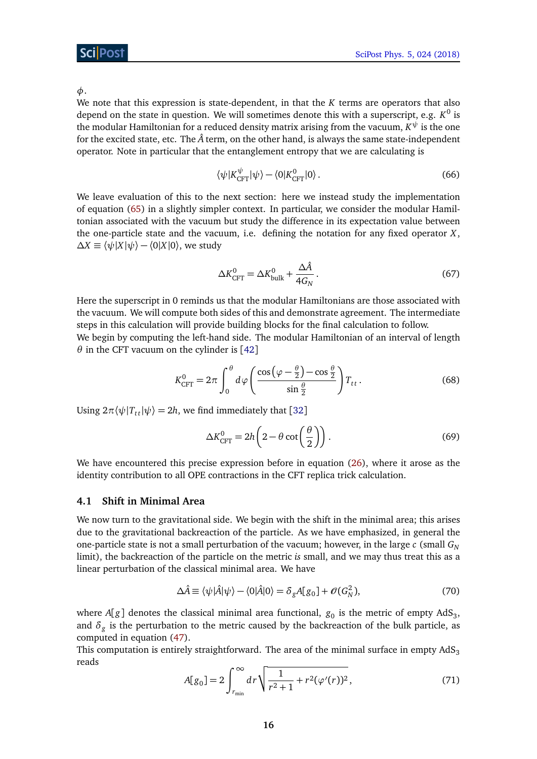*φ*.

We note that this expression is state-dependent, in that the *K* terms are operators that also depend on the state in question. We will sometimes denote this with a superscript, e.g. *K* 0 is the modular Hamiltonian for a reduced density matrix arising from the vacuum,  $K^\psi$  is the one for the excited state, etc. The  $\hat{A}$  term, on the other hand, is always the same state-independent operator. Note in particular that the entanglement entropy that we are calculating is

$$
\langle \psi | K_{\text{CFT}}^{\psi} | \psi \rangle - \langle 0 | K_{\text{CFT}}^0 | 0 \rangle \,. \tag{66}
$$

We leave evaluation of this to the next section: here we instead study the implementation of equation [\(65\)](#page-15-3) in a slightly simpler context. In particular, we consider the modular Hamiltonian associated with the vacuum but study the difference in its expectation value between the one-particle state and the vacuum, i.e. defining the notation for any fixed operator *X*,  $\Delta X \equiv \langle \psi | X | \psi \rangle - \langle 0 | X | 0 \rangle$ , we study

<span id="page-16-2"></span>
$$
\Delta K_{\rm CFT}^0 = \Delta K_{\rm bulk}^0 + \frac{\Delta \hat{A}}{4G_N} \,. \tag{67}
$$

Here the superscript in 0 reminds us that the modular Hamiltonians are those associated with the vacuum. We will compute both sides of this and demonstrate agreement. The intermediate steps in this calculation will provide building blocks for the final calculation to follow. We begin by computing the left-hand side. The modular Hamiltonian of an interval of length *θ* in the CFT vacuum on the cylinder is [[42](#page-32-4)]

$$
K_{\text{CFT}}^0 = 2\pi \int_0^\theta d\varphi \left( \frac{\cos\left(\varphi - \frac{\theta}{2}\right) - \cos\frac{\theta}{2}}{\sin\frac{\theta}{2}} \right) T_{tt} \,. \tag{68}
$$

Using  $2\pi \langle \psi | T_{tt} | \psi \rangle = 2h$ , we find immediately that [[32](#page-31-7)]

<span id="page-16-1"></span>
$$
\Delta K_{\text{CFT}}^0 = 2h\left(2 - \theta \cot\left(\frac{\theta}{2}\right)\right). \tag{69}
$$

We have encountered this precise expression before in equation [\(26\)](#page-8-0), where it arose as the identity contribution to all OPE contractions in the CFT replica trick calculation.

## <span id="page-16-0"></span>**4.1 Shift in Minimal Area**

We now turn to the gravitational side. We begin with the shift in the minimal area; this arises due to the gravitational backreaction of the particle. As we have emphasized, in general the one-particle state is not a small perturbation of the vacuum; however, in the large *c* (small *G<sup>N</sup>* limit), the backreaction of the particle on the metric *is* small, and we may thus treat this as a linear perturbation of the classical minimal area. We have

$$
\Delta \hat{A} \equiv \langle \psi | \hat{A} | \psi \rangle - \langle 0 | \hat{A} | 0 \rangle = \delta_g A[g_0] + \mathcal{O}(G_N^2), \tag{70}
$$

where  $A[g]$  denotes the classical minimal area functional,  $g_0$  is the metric of empty  $\mathrm{AdS}_3,$ and  $\delta_g$  is the perturbation to the metric caused by the backreaction of the bulk particle, as computed in equation [\(47\)](#page-11-2).

This computation is entirely straightforward. The area of the minimal surface in empty  $AdS_3$ reads

$$
A[g_0] = 2 \int_{r_{\min}}^{\infty} dr \sqrt{\frac{1}{r^2 + 1} + r^2 (\varphi'(r))^2},
$$
\n(71)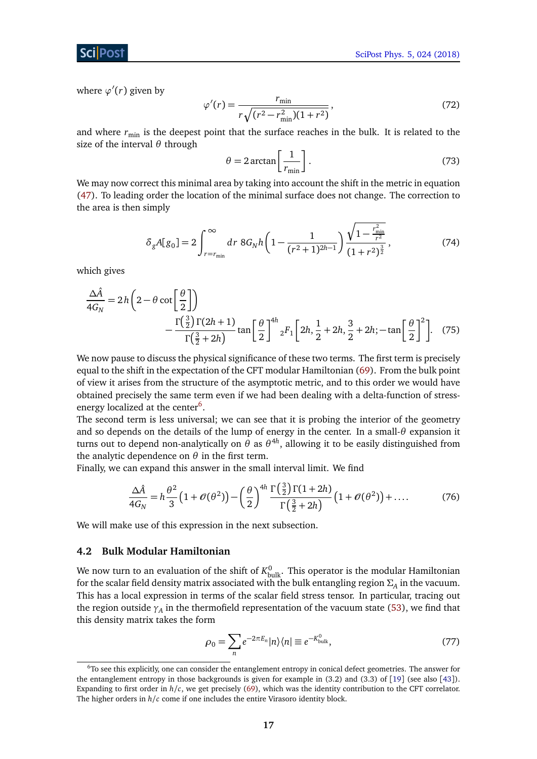where  $\varphi'(r)$  given by

$$
\varphi'(r) = \frac{r_{\min}}{r\sqrt{(r^2 - r_{\min}^2)(1 + r^2)}},\tag{72}
$$

and where  $r_{\text{min}}$  is the deepest point that the surface reaches in the bulk. It is related to the size of the interval *θ* through

$$
\theta = 2 \arctan\left[\frac{1}{r_{\min}}\right].\tag{73}
$$

We may now correct this minimal area by taking into account the shift in the metric in equation [\(47\)](#page-11-2). To leading order the location of the minimal surface does not change. The correction to the area is then simply

$$
\delta_g A[g_0] = 2 \int_{r=r_{\min}}^{\infty} dr \, 8G_N h \left( 1 - \frac{1}{(r^2 + 1)^{2h-1}} \right) \frac{\sqrt{1 - \frac{r_{\min}^2}{r^2}}}{(1 + r^2)^{\frac{3}{2}}},\tag{74}
$$

which gives

$$
\frac{\Delta \hat{A}}{4G_N} = 2h\left(2 - \theta \cot\left(\frac{\theta}{2}\right)\right)
$$

$$
-\frac{\Gamma\left(\frac{3}{2}\right)\Gamma(2h+1)}{\Gamma\left(\frac{3}{2} + 2h\right)}\tan\left(\frac{\theta}{2}\right)^{4h}{}_2F_1\left[2h, \frac{1}{2} + 2h, \frac{3}{2} + 2h; -\tan\left(\frac{\theta}{2}\right)^2\right].\tag{75}
$$

We now pause to discuss the physical significance of these two terms. The first term is precisely equal to the shift in the expectation of the CFT modular Hamiltonian [\(69\)](#page-16-1). From the bulk point of view it arises from the structure of the asymptotic metric, and to this order we would have obtained precisely the same term even if we had been dealing with a delta-function of stress-energy localized at the center<sup>[6](#page-1-0)</sup>.

The second term is less universal; we can see that it is probing the interior of the geometry and so depends on the details of the lump of energy in the center. In a small-*θ* expansion it turns out to depend non-analytically on *θ* as *θ* 4*h* , allowing it to be easily distinguished from the analytic dependence on  $\theta$  in the first term.

Finally, we can expand this answer in the small interval limit. We find

<span id="page-17-1"></span>
$$
\frac{\Delta \hat{A}}{4G_N} = h \frac{\theta^2}{3} \left( 1 + \mathcal{O}(\theta^2) \right) - \left( \frac{\theta}{2} \right)^{4h} \frac{\Gamma\left(\frac{3}{2}\right) \Gamma(1+2h)}{\Gamma\left(\frac{3}{2} + 2h\right)} \left( 1 + \mathcal{O}(\theta^2) \right) + \dots \tag{76}
$$

We will make use of this expression in the next subsection.

#### <span id="page-17-0"></span>**4.2 Bulk Modular Hamiltonian**

We now turn to an evaluation of the shift of  $K_{\rm bulk}^0$ . This operator is the modular Hamiltonian for the scalar field density matrix associated with the bulk entangling region  $\Sigma_A$  in the vacuum. This has a local expression in terms of the scalar field stress tensor. In particular, tracing out the region outside  $\gamma_A$  in the thermofield representation of the vacuum state [\(53\)](#page-13-2), we find that this density matrix takes the form

<span id="page-17-2"></span>
$$
\rho_0 = \sum_n e^{-2\pi E_n} |n\rangle\langle n| \equiv e^{-K_{\text{bulk}}^0},\tag{77}
$$

<sup>6</sup>To see this explicitly, one can consider the entanglement entropy in conical defect geometries. The answer for the entanglement entropy in those backgrounds is given for example in (3.2) and (3.3) of [[19](#page-30-8)] (see also [[43](#page-32-5)]). Expanding to first order in *h/c*, we get precisely [\(69\)](#page-16-1), which was the identity contribution to the CFT correlator. The higher orders in  $h/c$  come if one includes the entire Virasoro identity block.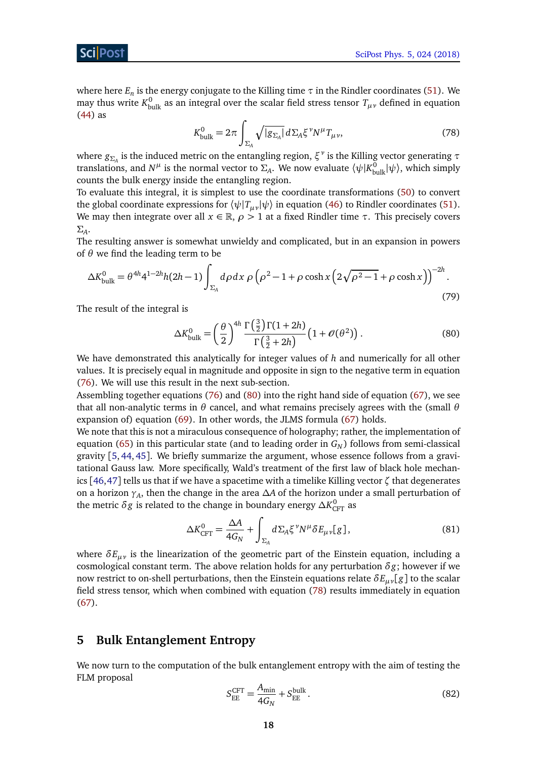<span id="page-18-2"></span>where here  $E_n$  is the energy conjugate to the Killing time  $\tau$  in the Rindler coordinates [\(51\)](#page-12-3). We may thus write  $K^0_{\rm bulk}$  as an integral over the scalar field stress tensor  $T_{\mu\nu}$  defined in equation [\(44\)](#page-11-3) as

$$
K_{\text{bulk}}^0 = 2\pi \int_{\Sigma_A} \sqrt{|g_{\Sigma_A}|} \, d\Sigma_A \xi^\nu N^\mu T_{\mu\nu},\tag{78}
$$

where *gΣ<sup>A</sup>* is the induced metric on the entangling region, *ξ ν* is the Killing vector generating *τ* translations, and *N<sup>μ*</sup> is the normal vector to Σ<sub>*A*</sub>. We now evaluate  $\langle \psi | K_{\text{bulk}}^0 | \psi \rangle$ , which simply counts the bulk energy inside the entangling region.

To evaluate this integral, it is simplest to use the coordinate transformations [\(50\)](#page-12-2) to convert the global coordinate expressions for  $\langle \psi | T_{\mu\nu} | \psi \rangle$  in equation [\(46\)](#page-11-4) to Rindler coordinates [\(51\)](#page-12-3). We may then integrate over all  $x \in \mathbb{R}$ ,  $\rho > 1$  at a fixed Rindler time  $\tau$ . This precisely covers *Σ<sup>A</sup>* .

The resulting answer is somewhat unwieldy and complicated, but in an expansion in powers of *θ* we find the leading term to be

$$
\Delta K_{\text{bulk}}^0 = \theta^{4h} 4^{1-2h} h (2h-1) \int_{\Sigma_A} d\rho \, dx \, \rho \left( \rho^2 - 1 + \rho \cosh x \left( 2\sqrt{\rho^2 - 1} + \rho \cosh x \right) \right)^{-2h} . \tag{79}
$$

The result of the integral is

<span id="page-18-1"></span>
$$
\Delta K_{\text{bulk}}^0 = \left(\frac{\theta}{2}\right)^{4h} \frac{\Gamma\left(\frac{3}{2}\right) \Gamma(1+2h)}{\Gamma\left(\frac{3}{2}+2h\right)} \left(1 + \mathcal{O}(\theta^2)\right). \tag{80}
$$

We have demonstrated this analytically for integer values of *h* and numerically for all other values. It is precisely equal in magnitude and opposite in sign to the negative term in equation [\(76\)](#page-17-1). We will use this result in the next sub-section.

Assembling together equations [\(76\)](#page-17-1) and [\(80\)](#page-18-1) into the right hand side of equation [\(67\)](#page-16-2), we see that all non-analytic terms in *θ* cancel, and what remains precisely agrees with the (small *θ* expansion of) equation [\(69\)](#page-16-1). In other words, the JLMS formula [\(67\)](#page-16-2) holds.

We note that this is not a miraculous consequence of holography; rather, the implementation of equation [\(65\)](#page-15-3) in this particular state (and to leading order in  $G_N$ ) follows from semi-classical gravity [[5,](#page-29-5) [44,](#page-32-6) [45](#page-32-7)]. We briefly summarize the argument, whose essence follows from a gravitational Gauss law. More specifically, Wald's treatment of the first law of black hole mechanics [[46,](#page-32-8)[47](#page-32-9)] tells us that if we have a spacetime with a timelike Killing vector *ζ* that degenerates on a horizon *γ<sup>A</sup>* , then the change in the area *∆A* of the horizon under a small perturbation of the metric  $\delta g$  is related to the change in boundary energy  $\Delta K_{\rm CFT}^0$  as

$$
\Delta K_{\rm CFT}^0 = \frac{\Delta A}{4G_N} + \int_{\Sigma_A} d\Sigma_A \xi^\nu N^\mu \delta E_{\mu\nu} [g], \qquad (81)
$$

where  $\delta E_{\mu\nu}$  is the linearization of the geometric part of the Einstein equation, including a cosmological constant term. The above relation holds for any perturbation  $\delta g$ ; however if we now restrict to on-shell perturbations, then the Einstein equations relate *δEµν*[*g*] to the scalar field stress tensor, which when combined with equation [\(78\)](#page-18-2) results immediately in equation [\(67\)](#page-16-2).

## <span id="page-18-0"></span>**5 Bulk Entanglement Entropy**

We now turn to the computation of the bulk entanglement entropy with the aim of testing the FLM proposal

$$
S_{\rm EE}^{\rm CFT} = \frac{A_{\rm min}}{4G_N} + S_{\rm EE}^{\rm bulk} \,. \tag{82}
$$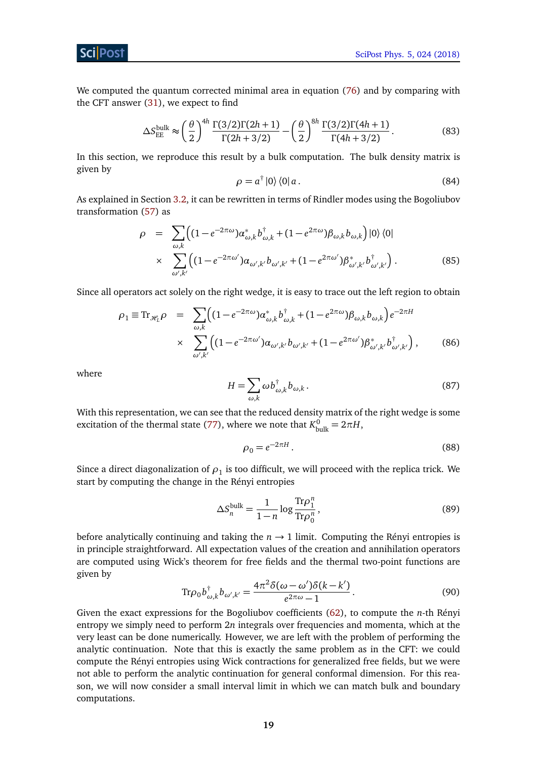[SciPost Phys. 5, 024 \(2018\)](https://scipost.org/SciPostPhys.5.3.024)

We computed the quantum corrected minimal area in equation [\(76\)](#page-17-1) and by comparing with the CFT answer [\(31\)](#page-8-1), we expect to find

$$
\Delta S_{\rm EE}^{\rm bulk} \approx \left(\frac{\theta}{2}\right)^{4h} \frac{\Gamma(3/2)\Gamma(2h+1)}{\Gamma(2h+3/2)} - \left(\frac{\theta}{2}\right)^{8h} \frac{\Gamma(3/2)\Gamma(4h+1)}{\Gamma(4h+3/2)}.
$$
 (83)

In this section, we reproduce this result by a bulk computation. The bulk density matrix is given by

<span id="page-19-2"></span>
$$
\rho = a^{\dagger} |0\rangle \langle 0| a. \tag{84}
$$

As explained in Section [3.2,](#page-12-0) it can be rewritten in terms of Rindler modes using the Bogoliubov transformation [\(57\)](#page-14-1) as

$$
\rho = \sum_{\omega,k} \left( (1 - e^{-2\pi\omega}) \alpha_{\omega,k}^* b_{\omega,k}^\dagger + (1 - e^{2\pi\omega}) \beta_{\omega,k} b_{\omega,k} \right) |0\rangle \langle 0|
$$
  
 
$$
\times \sum_{\omega',k'} \left( (1 - e^{-2\pi\omega'}) \alpha_{\omega',k'} b_{\omega',k'} + (1 - e^{2\pi\omega'}) \beta_{\omega',k'}^* b_{\omega',k'}^\dagger \right). \tag{85}
$$

Since all operators act solely on the right wedge, it is easy to trace out the left region to obtain

$$
\rho_1 \equiv \text{Tr}_{\mathcal{H}_L} \rho = \sum_{\omega,k} \Big( (1 - e^{-2\pi\omega}) \alpha_{\omega,k}^* b_{\omega,k}^\dagger + (1 - e^{2\pi\omega}) \beta_{\omega,k} b_{\omega,k} \Big) e^{-2\pi H}
$$
  
 
$$
\times \sum_{\omega',k'} \Big( (1 - e^{-2\pi\omega'}) \alpha_{\omega',k'} b_{\omega',k'} + (1 - e^{2\pi\omega'}) \beta_{\omega',k'}^* b_{\omega',k'}^\dagger \Big), \qquad (86)
$$

where

$$
H = \sum_{\omega,k} \omega b^{\dagger}_{\omega,k} b_{\omega,k}.
$$
 (87)

With this representation, we can see that the reduced density matrix of the right wedge is some excitation of the thermal state [\(77\)](#page-17-2), where we note that  $K_{\text{bulk}}^0 = 2\pi H$ ,

<span id="page-19-0"></span>
$$
\rho_0 = e^{-2\pi H}.
$$
\n(88)

Since a direct diagonalization of  $\rho_1$  is too difficult, we will proceed with the replica trick. We start by computing the change in the Rényi entropies

$$
\Delta S_n^{\text{bulk}} = \frac{1}{1 - n} \log \frac{\text{Tr}\rho_1^n}{\text{Tr}\rho_0^n},\tag{89}
$$

<span id="page-19-1"></span>before analytically continuing and taking the  $n \rightarrow 1$  limit. Computing the Rényi entropies is in principle straightforward. All expectation values of the creation and annihilation operators are computed using Wick's theorem for free fields and the thermal two-point functions are given by

$$
\text{Tr}\rho_0 b_{\omega,k}^\dagger b_{\omega',k'} = \frac{4\pi^2 \delta(\omega - \omega')\delta(k - k')}{e^{2\pi\omega} - 1}.
$$
\n(90)

Given the exact expressions for the Bogoliubov coefficients [\(62\)](#page-15-2), to compute the *n*-th Rényi entropy we simply need to perform 2*n* integrals over frequencies and momenta, which at the very least can be done numerically. However, we are left with the problem of performing the analytic continuation. Note that this is exactly the same problem as in the CFT: we could compute the Rényi entropies using Wick contractions for generalized free fields, but we were not able to perform the analytic continuation for general conformal dimension. For this reason, we will now consider a small interval limit in which we can match bulk and boundary computations.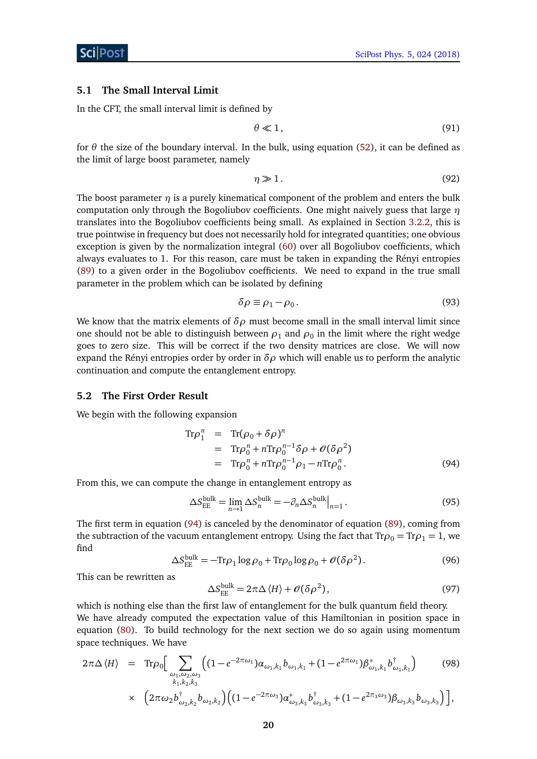## <span id="page-20-0"></span>**5.1 The Small Interval Limit**

In the CFT, the small interval limit is defined by

$$
\theta \ll 1,\tag{91}
$$

for  $\theta$  the size of the boundary interval. In the bulk, using equation [\(52\)](#page-12-4), it can be defined as the limit of large boost parameter, namely

$$
\eta \gg 1. \tag{92}
$$

The boost parameter  $\eta$  is a purely kinematical component of the problem and enters the bulk computation only through the Bogoliubov coefficients. One might naively guess that large *η* translates into the Bogoliubov coefficients being small. As explained in Section [3.2.2,](#page-15-0) this is true pointwise in frequency but does not necessarily hold for integrated quantities; one obvious exception is given by the normalization integral [\(60\)](#page-14-5) over all Bogoliubov coefficients, which always evaluates to 1. For this reason, care must be taken in expanding the Rényi entropies [\(89\)](#page-19-0) to a given order in the Bogoliubov coefficients. We need to expand in the true small parameter in the problem which can be isolated by defining

$$
\delta \rho \equiv \rho_1 - \rho_0. \tag{93}
$$

We know that the matrix elements of  $\delta \rho$  must become small in the small interval limit since one should not be able to distinguish between  $\rho_1$  and  $\rho_0$  in the limit where the right wedge goes to zero size. This will be correct if the two density matrices are close. We will now expand the Rényi entropies order by order in  $\delta \rho$  which will enable us to perform the analytic continuation and compute the entanglement entropy.

### <span id="page-20-1"></span>**5.2 The First Order Result**

We begin with the following expansion

<span id="page-20-2"></span>
$$
\text{Tr}\rho_1^n = \text{Tr}(\rho_0 + \delta \rho)^n
$$
  
= 
$$
\text{Tr}\rho_0^n + n \text{Tr}\rho_0^{n-1} \delta \rho + \mathcal{O}(\delta \rho^2)
$$
  
= 
$$
\text{Tr}\rho_0^n + n \text{Tr}\rho_0^{n-1} \rho_1 - n \text{Tr}\rho_0^n. \tag{94}
$$

From this, we can compute the change in entanglement entropy as

$$
\Delta S_{\rm EE}^{\rm bulk} = \lim_{n \to 1} \Delta S_n^{\rm bulk} = -\partial_n \Delta S_n^{\rm bulk} \big|_{n=1} \,. \tag{95}
$$

The first term in equation [\(94\)](#page-20-2) is canceled by the denominator of equation [\(89\)](#page-19-0), coming from the subtraction of the vacuum entanglement entropy. Using the fact that  $Tr \rho_0 = Tr \rho_1 = 1$ , we find

$$
\Delta S_{\rm EE}^{\rm bulk} = -\text{Tr}\rho_1 \log \rho_0 + \text{Tr}\rho_0 \log \rho_0 + \mathcal{O}(\delta \rho^2). \tag{96}
$$

This can be rewritten as

$$
\Delta S_{\rm EE}^{\rm bulk} = 2\pi \Delta \langle H \rangle + \mathcal{O}(\delta \rho^2),\tag{97}
$$

which is nothing else than the first law of entanglement for the bulk quantum field theory. We have already computed the expectation value of this Hamiltonian in position space in equation [\(80\)](#page-18-1). To build technology for the next section we do so again using momentum space techniques. We have

$$
2\pi\Delta \langle H \rangle = \text{Tr}\rho_0 \Big[ \sum_{\substack{\omega_1, \omega_2, \omega_3 \\ k_1, k_2, k_3}} \Big( (1 - e^{-2\pi\omega_1}) \alpha_{\omega_1, k_1} b_{\omega_1, k_1} + (1 - e^{2\pi\omega_1}) \beta_{\omega_1, k_1}^* b_{\omega_1, k_1}^\dagger \Big) \qquad (98)
$$
  
 
$$
\times \Big( 2\pi\omega_2 b_{\omega_2, k_2}^\dagger b_{\omega_2, k_2} \Big) \Big( (1 - e^{-2\pi\omega_3}) \alpha_{\omega_3, k_3}^* b_{\omega_3, k_3}^\dagger + (1 - e^{2\pi_3\omega_3}) \beta_{\omega_3, k_3} b_{\omega_3, k_3} \Big) \Big],
$$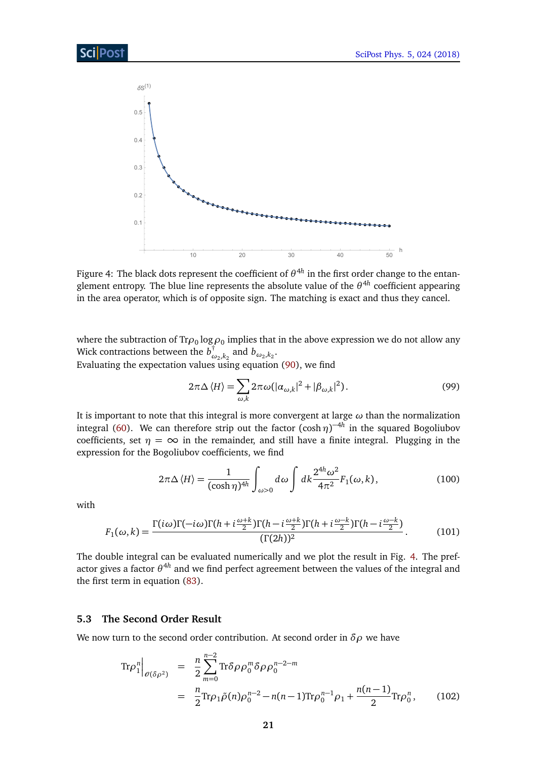<span id="page-21-1"></span>

Figure 4: The black dots represent the coefficient of  $\theta^{4h}$  in the first order change to the entanglement entropy. The blue line represents the absolute value of the *θ* 4*h* coefficient appearing in the area operator, which is of opposite sign. The matching is exact and thus they cancel.

where the subtraction of Tr $\rho_0$  log  $\rho_0$  implies that in the above expression we do not allow any Wick contractions between the *b* †  $\int_{\omega_2, k_2}^{\infty}$  and  $b_{\omega_2, k_2}$ . Evaluating the expectation values using equation [\(90\)](#page-19-1), we find

$$
2\pi\Delta\langle H\rangle = \sum_{\omega,k} 2\pi\omega(|\alpha_{\omega,k}|^2 + |\beta_{\omega,k}|^2).
$$
 (99)

It is important to note that this integral is more convergent at large *ω* than the normalization integral [\(60\)](#page-14-5). We can therefore strip out the factor  $(\cosh \eta)^{-4h}$  in the squared Bogoliubov coefficients, set  $\eta = \infty$  in the remainder, and still have a finite integral. Plugging in the expression for the Bogoliubov coefficients, we find

$$
2\pi\Delta\langle H\rangle = \frac{1}{(\cosh\eta)^{4h}} \int_{\omega>0} d\omega \int dk \frac{2^{4h}\omega^2}{4\pi^2} F_1(\omega,k), \qquad (100)
$$

with

$$
F_1(\omega,k) = \frac{\Gamma(i\omega)\Gamma(-i\omega)\Gamma(h+i\frac{\omega+k}{2})\Gamma(h-i\frac{\omega+k}{2})\Gamma(h+i\frac{\omega-k}{2})\Gamma(h-i\frac{\omega-k}{2})}{(\Gamma(2h))^2}.
$$
 (101)

The double integral can be evaluated numerically and we plot the result in Fig. [4.](#page-21-1) The prefactor gives a factor *θ* 4*h* and we find perfect agreement between the values of the integral and the first term in equation [\(83\)](#page-19-2).

## <span id="page-21-0"></span>**5.3 The Second Order Result**

We now turn to the second order contribution. At second order in *δρ* we have

$$
\text{Tr}\rho_1^n\Big|_{\theta(\delta\rho^2)} = \frac{n}{2} \sum_{m=0}^{n-2} \text{Tr}\delta\rho \rho_0^m \delta\rho \rho_0^{n-2-m}
$$
  
= 
$$
\frac{n}{2} \text{Tr}\rho_1 \tilde{\rho}(n) \rho_0^{n-2} - n(n-1) \text{Tr}\rho_0^{n-1} \rho_1 + \frac{n(n-1)}{2} \text{Tr}\rho_0^n, \qquad (102)
$$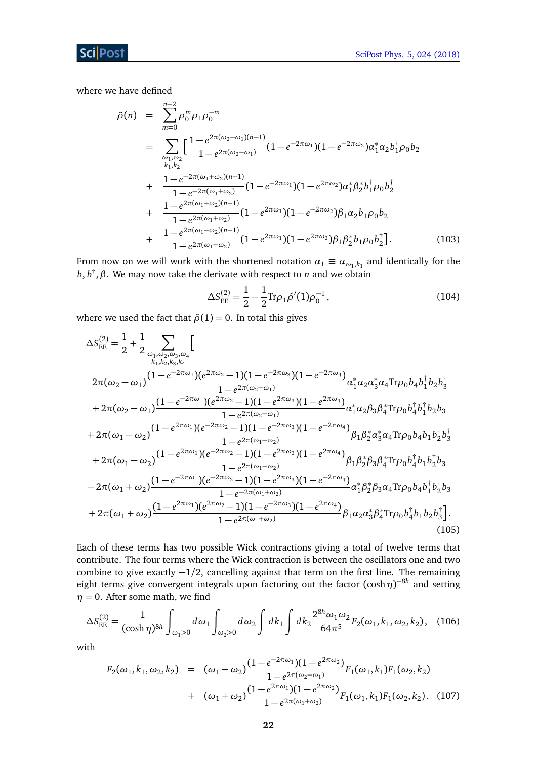where we have defined

$$
\tilde{\rho}(n) = \sum_{m=0}^{n-2} \rho_0^m \rho_1 \rho_0^{-m}
$$
\n
$$
= \sum_{\substack{\omega_1, \omega_2 \\ k_1, k_2}} \left[ \frac{1 - e^{2\pi(\omega_2 - \omega_1)(n-1)}}{1 - e^{2\pi(\omega_2 - \omega_1)}} (1 - e^{-2\pi\omega_1})(1 - e^{-2\pi\omega_2}) \alpha_1^* \alpha_2 b_1^{\dagger} \rho_0 b_2 \right.
$$
\n
$$
+ \frac{1 - e^{-2\pi(\omega_1 + \omega_2)(n-1)}}{1 - e^{-2\pi(\omega_1 + \omega_2)}} (1 - e^{-2\pi\omega_1})(1 - e^{2\pi\omega_2}) \alpha_1^* \beta_2^* b_1^{\dagger} \rho_0 b_2^{\dagger}
$$
\n
$$
+ \frac{1 - e^{2\pi(\omega_1 + \omega_2)(n-1)}}{1 - e^{2\pi(\omega_1 + \omega_2)}} (1 - e^{2\pi\omega_1})(1 - e^{-2\pi\omega_2}) \beta_1 \alpha_2 b_1 \rho_0 b_2
$$
\n
$$
+ \frac{1 - e^{2\pi(\omega_1 - \omega_2)(n-1)}}{1 - e^{2\pi(\omega_1 - \omega_2)}} (1 - e^{2\pi\omega_1})(1 - e^{2\pi\omega_2}) \beta_1 \beta_2^* b_1 \rho_0 b_2^{\dagger}]. \tag{103}
$$

From now on we will work with the shortened notation  $\alpha_1 \equiv \alpha_{\omega_1,k_1}$  and identically for the *b*, *b* † ,*β*. We may now take the derivate with respect to *n* and we obtain

$$
\Delta S_{\rm EE}^{(2)} = \frac{1}{2} - \frac{1}{2} \text{Tr} \rho_1 \tilde{\rho}'(1) \rho_0^{-1},\tag{104}
$$

where we used the fact that  $\tilde{\rho}(1) = 0$ . In total this gives

$$
\Delta S_{EE}^{(2)} = \frac{1}{2} + \frac{1}{2} \sum_{\omega_1, \omega_2, \omega_3, \omega_4} \left[ \frac{1 - e^{-2\pi\omega_1} (e^{2\pi\omega_2} - 1)(1 - e^{-2\pi\omega_3})(1 - e^{-2\pi\omega_4})}{1 - e^{2\pi(\omega_2 - \omega_1)}} \alpha_1^* \alpha_2 \alpha_3^* \alpha_4 \text{Tr} \rho_0 b_4 b_1^{\dagger} b_2 b_3^{\dagger} \right] \n+ 2\pi(\omega_2 - \omega_1) \frac{(1 - e^{-2\pi\omega_1} ) (e^{2\pi\omega_2} - 1)(1 - e^{2\pi\omega_3}) (1 - e^{2\pi\omega_4})}{1 - e^{2\pi(\omega_2 - \omega_1)}} \alpha_1^* \alpha_2 \beta_3 \beta_4^* \text{Tr} \rho_0 b_4^{\dagger} b_1^{\dagger} b_2 b_3 \right. \n+ 2\pi(\omega_1 - \omega_2) \frac{(1 - e^{2\pi\omega_1} ) (e^{-2\pi\omega_2} - 1)(1 - e^{-2\pi\omega_3}) (1 - e^{-2\pi\omega_4})}{1 - e^{2\pi(\omega_1 - \omega_2)}} \beta_1 \beta_2^* \alpha_3^* \alpha_4 \text{Tr} \rho_0 b_4 b_1 b_2^{\dagger} b_3^{\dagger} \right. \n+ 2\pi(\omega_1 - \omega_2) \frac{(1 - e^{2\pi\omega_1} ) (e^{-2\pi\omega_2} - 1)(1 - e^{2\pi\omega_3}) (1 - e^{2\pi\omega_4})}{1 - e^{2\pi(\omega_1 - \omega_2)}} \beta_1 \beta_2^* \beta_3 \beta_4^* \text{Tr} \rho_0 b_4^{\dagger} b_1 b_2^{\dagger} b_3 \right. \n- 2\pi(\omega_1 + \omega_2) \frac{(1 - e^{-2\pi\omega_1} ) (e^{-2\pi\omega_2} - 1)(1 - e^{2\pi\omega_3}) (1 - e^{-2\pi\omega_4})}{1 - e^{-2\pi(\omega_1 + \omega_2)}} \alpha_1^* \beta_2^* \beta_3 \alpha_4 \text{Tr} \rho_0 b_4 b_1^{\dagger} b_2^{\dagger}
$$

Each of these terms has two possible Wick contractions giving a total of twelve terms that contribute. The four terms where the Wick contraction is between the oscillators one and two combine to give exactly −1*/*2, cancelling against that term on the first line. The remaining eight terms give convergent integrals upon factoring out the factor  $(\cosh \eta)^{-8h}$  and setting  $\eta = 0$ . After some math, we find

$$
\Delta S_{\rm EE}^{(2)} = \frac{1}{(\cosh \eta)^{8h}} \int_{\omega_1 > 0} d\omega_1 \int_{\omega_2 > 0} d\omega_2 \int dk_1 \int dk_2 \frac{2^{8h} \omega_1 \omega_2}{64\pi^5} F_2(\omega_1, k_1, \omega_2, k_2), \quad (106)
$$

with

$$
F_2(\omega_1, k_1, \omega_2, k_2) = (\omega_1 - \omega_2) \frac{(1 - e^{-2\pi\omega_1})(1 - e^{2\pi\omega_2})}{1 - e^{2\pi(\omega_2 - \omega_1)}} F_1(\omega_1, k_1) F_1(\omega_2, k_2)
$$
  
+ 
$$
(\omega_1 + \omega_2) \frac{(1 - e^{2\pi\omega_1})(1 - e^{2\pi\omega_2})}{1 - e^{2\pi(\omega_1 + \omega_2)}} F_1(\omega_1, k_1) F_1(\omega_2, k_2).
$$
 (107)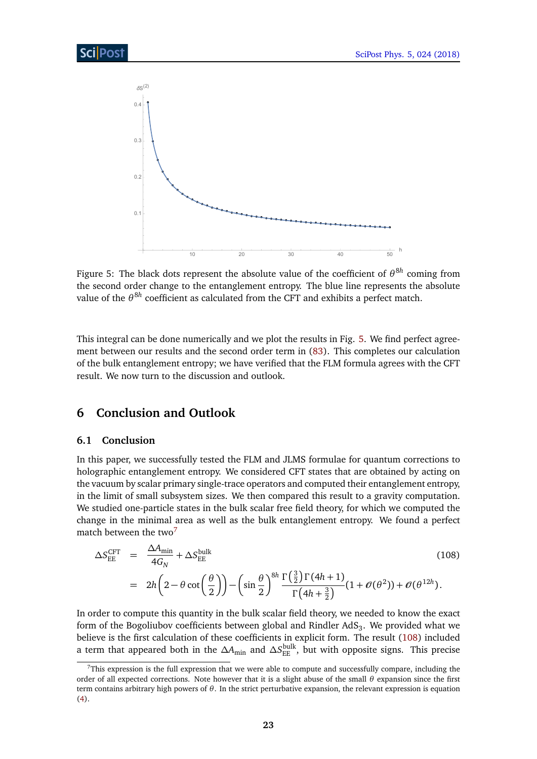<span id="page-23-2"></span>

Figure 5: The black dots represent the absolute value of the coefficient of  $θ^{8h}$  coming from the second order change to the entanglement entropy. The blue line represents the absolute value of the  $\theta^{8h}$  coefficient as calculated from the CFT and exhibits a perfect match.

This integral can be done numerically and we plot the results in Fig. [5.](#page-23-2) We find perfect agreement between our results and the second order term in [\(83\)](#page-19-2). This completes our calculation of the bulk entanglement entropy; we have verified that the FLM formula agrees with the CFT result. We now turn to the discussion and outlook.

# <span id="page-23-0"></span>**6 Conclusion and Outlook**

## <span id="page-23-1"></span>**6.1 Conclusion**

In this paper, we successfully tested the FLM and JLMS formulae for quantum corrections to holographic entanglement entropy. We considered CFT states that are obtained by acting on the vacuum by scalar primary single-trace operators and computed their entanglement entropy, in the limit of small subsystem sizes. We then compared this result to a gravity computation. We studied one-particle states in the bulk scalar free field theory, for which we computed the change in the minimal area as well as the bulk entanglement entropy. We found a perfect match between the two<sup>[7](#page-1-0)</sup>

<span id="page-23-3"></span>
$$
\Delta S_{\text{EE}}^{\text{CFT}} = \frac{\Delta A_{\text{min}}}{4G_N} + \Delta S_{\text{EE}}^{\text{bulk}}
$$
\n
$$
= 2h \left( 2 - \theta \cot \left( \frac{\theta}{2} \right) \right) - \left( \sin \frac{\theta}{2} \right)^{8h} \frac{\Gamma\left(\frac{3}{2}\right) \Gamma(4h+1)}{\Gamma(4h+\frac{3}{2})} (1 + \mathcal{O}(\theta^2)) + \mathcal{O}(\theta^{12h}).
$$
\n(108)

In order to compute this quantity in the bulk scalar field theory, we needed to know the exact form of the Bogoliubov coefficients between global and Rindler AdS $_3$ . We provided what we believe is the first calculation of these coefficients in explicit form. The result [\(108\)](#page-23-3) included a term that appeared both in the *∆A*min and *∆S* bulk EE , but with opposite signs. This precise

 $7$ This expression is the full expression that we were able to compute and successfully compare, including the order of all expected corrections. Note however that it is a slight abuse of the small *θ* expansion since the first term contains arbitrary high powers of *θ*. In the strict perturbative expansion, the relevant expression is equation [\(4\)](#page-3-0).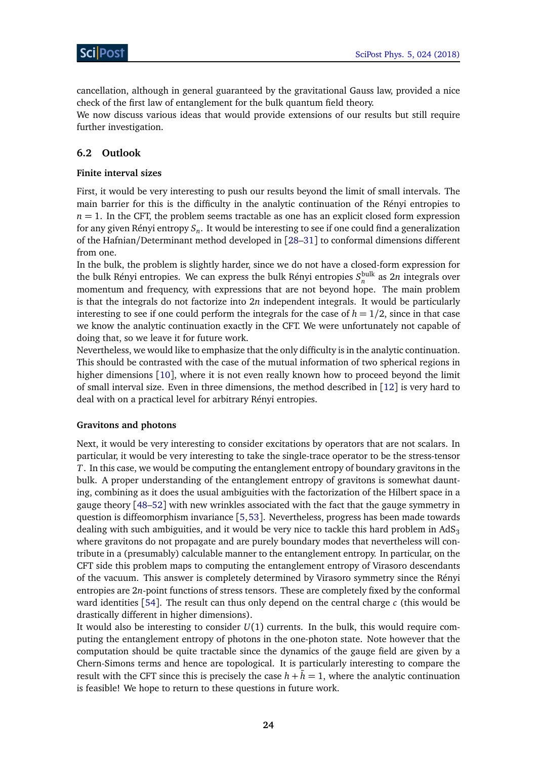cancellation, although in general guaranteed by the gravitational Gauss law, provided a nice check of the first law of entanglement for the bulk quantum field theory.

We now discuss various ideas that would provide extensions of our results but still require further investigation.

## <span id="page-24-0"></span>**6.2 Outlook**

## **Finite interval sizes**

First, it would be very interesting to push our results beyond the limit of small intervals. The main barrier for this is the difficulty in the analytic continuation of the Rényi entropies to  $n = 1$ . In the CFT, the problem seems tractable as one has an explicit closed form expression for any given Rényi entropy *S<sup>n</sup>* . It would be interesting to see if one could find a generalization of the Hafnian/Determinant method developed in [[28–](#page-31-5)[31](#page-31-6)] to conformal dimensions different from one.

In the bulk, the problem is slightly harder, since we do not have a closed-form expression for the bulk Rényi entropies. We can express the bulk Rényi entropies  $S_n^{\text{bulk}}$  as  $2n$  integrals over momentum and frequency, with expressions that are not beyond hope. The main problem is that the integrals do not factorize into 2*n* independent integrals. It would be particularly interesting to see if one could perform the integrals for the case of  $h = 1/2$ , since in that case we know the analytic continuation exactly in the CFT. We were unfortunately not capable of doing that, so we leave it for future work.

Nevertheless, we would like to emphasize that the only difficulty is in the analytic continuation. This should be contrasted with the case of the mutual information of two spherical regions in higher dimensions [[10](#page-30-2)], where it is not even really known how to proceed beyond the limit of small interval size. Even in three dimensions, the method described in  $\lceil 12 \rceil$  $\lceil 12 \rceil$  $\lceil 12 \rceil$  is very hard to deal with on a practical level for arbitrary Rényi entropies.

### **Gravitons and photons**

Next, it would be very interesting to consider excitations by operators that are not scalars. In particular, it would be very interesting to take the single-trace operator to be the stress-tensor *T*. In this case, we would be computing the entanglement entropy of boundary gravitons in the bulk. A proper understanding of the entanglement entropy of gravitons is somewhat daunting, combining as it does the usual ambiguities with the factorization of the Hilbert space in a gauge theory [[48–](#page-32-10)[52](#page-32-11)] with new wrinkles associated with the fact that the gauge symmetry in question is diffeomorphism invariance [[5,](#page-29-5)[53](#page-32-12)]. Nevertheless, progress has been made towards dealing with such ambiguities, and it would be very nice to tackle this hard problem in  $AdS_3$ where gravitons do not propagate and are purely boundary modes that nevertheless will contribute in a (presumably) calculable manner to the entanglement entropy. In particular, on the CFT side this problem maps to computing the entanglement entropy of Virasoro descendants of the vacuum. This answer is completely determined by Virasoro symmetry since the Rényi entropies are 2*n*-point functions of stress tensors. These are completely fixed by the conformal ward identities [[54](#page-33-0)]. The result can thus only depend on the central charge *c* (this would be drastically different in higher dimensions).

It would also be interesting to consider *U*(1) currents. In the bulk, this would require computing the entanglement entropy of photons in the one-photon state. Note however that the computation should be quite tractable since the dynamics of the gauge field are given by a Chern-Simons terms and hence are topological. It is particularly interesting to compare the result with the CFT since this is precisely the case  $h + h = 1$ , where the analytic continuation is feasible! We hope to return to these questions in future work.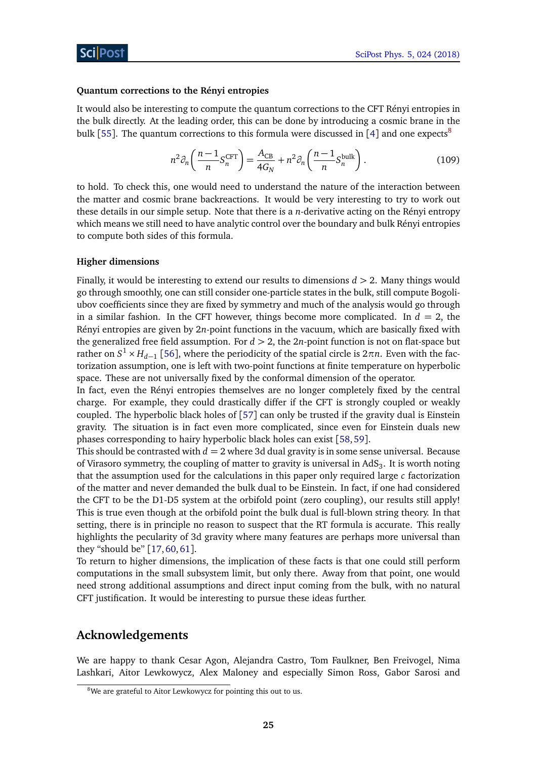#### **Quantum corrections to the Rényi entropies**

It would also be interesting to compute the quantum corrections to the CFT Rényi entropies in the bulk directly. At the leading order, this can be done by introducing a cosmic brane in the bulk [[55](#page-33-1)]. The quantum corrections to this formula were discussed in [[4](#page-29-4)] and one expects<sup>[8](#page-1-0)</sup>

$$
n^2 \partial_n \left( \frac{n-1}{n} S_n^{\text{CFT}} \right) = \frac{A_{\text{CB}}}{4G_N} + n^2 \partial_n \left( \frac{n-1}{n} S_n^{\text{bulk}} \right). \tag{109}
$$

to hold. To check this, one would need to understand the nature of the interaction between the matter and cosmic brane backreactions. It would be very interesting to try to work out these details in our simple setup. Note that there is a *n*-derivative acting on the Rényi entropy which means we still need to have analytic control over the boundary and bulk Rényi entropies to compute both sides of this formula.

#### **Higher dimensions**

Finally, it would be interesting to extend our results to dimensions *d >* 2. Many things would go through smoothly, one can still consider one-particle states in the bulk, still compute Bogoliubov coefficients since they are fixed by symmetry and much of the analysis would go through in a similar fashion. In the CFT however, things become more complicated. In  $d = 2$ , the Rényi entropies are given by 2*n*-point functions in the vacuum, which are basically fixed with the generalized free field assumption. For  $d > 2$ , the  $2n$ -point function is not on flat-space but rather on  $S^1 \times H_{d-1}$  [[56](#page-33-2)], where the periodicity of the spatial circle is  $2\pi n$ . Even with the factorization assumption, one is left with two-point functions at finite temperature on hyperbolic space. These are not universally fixed by the conformal dimension of the operator.

In fact, even the Rényi entropies themselves are no longer completely fixed by the central charge. For example, they could drastically differ if the CFT is strongly coupled or weakly coupled. The hyperbolic black holes of [[57](#page-33-3)] can only be trusted if the gravity dual is Einstein gravity. The situation is in fact even more complicated, since even for Einstein duals new phases corresponding to hairy hyperbolic black holes can exist [[58,](#page-33-4)[59](#page-33-5)].

This should be contrasted with  $d = 2$  where 3d dual gravity is in some sense universal. Because of Virasoro symmetry, the coupling of matter to gravity is universal in AdS $_{3}.$  It is worth noting that the assumption used for the calculations in this paper only required large *c* factorization of the matter and never demanded the bulk dual to be Einstein. In fact, if one had considered the CFT to be the D1-D5 system at the orbifold point (zero coupling), our results still apply! This is true even though at the orbifold point the bulk dual is full-blown string theory. In that setting, there is in principle no reason to suspect that the RT formula is accurate. This really highlights the pecularity of 3d gravity where many features are perhaps more universal than they "should be" [[17,](#page-30-6)[60,](#page-33-6)[61](#page-33-7)].

To return to higher dimensions, the implication of these facts is that one could still perform computations in the small subsystem limit, but only there. Away from that point, one would need strong additional assumptions and direct input coming from the bulk, with no natural CFT justification. It would be interesting to pursue these ideas further.

## **Acknowledgements**

We are happy to thank Cesar Agon, Alejandra Castro, Tom Faulkner, Ben Freivogel, Nima Lashkari, Aitor Lewkowycz, Alex Maloney and especially Simon Ross, Gabor Sarosi and

<sup>&</sup>lt;sup>8</sup>We are grateful to Aitor Lewkowycz for pointing this out to us.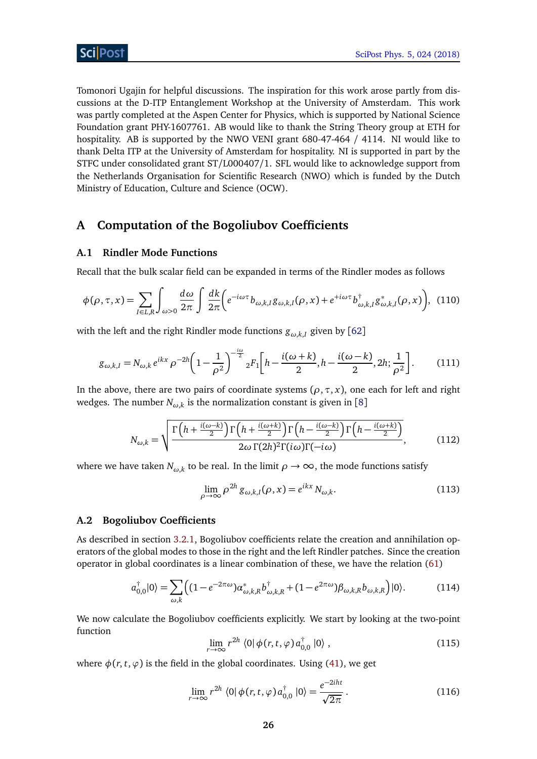Tomonori Ugajin for helpful discussions. The inspiration for this work arose partly from discussions at the D-ITP Entanglement Workshop at the University of Amsterdam. This work was partly completed at the Aspen Center for Physics, which is supported by National Science Foundation grant PHY-1607761. AB would like to thank the String Theory group at ETH for hospitality. AB is supported by the NWO VENI grant 680-47-464 / 4114. NI would like to thank Delta ITP at the University of Amsterdam for hospitality. NI is supported in part by the STFC under consolidated grant ST/L000407/1. SFL would like to acknowledge support from the Netherlands Organisation for Scientific Research (NWO) which is funded by the Dutch Ministry of Education, Culture and Science (OCW).

# <span id="page-26-0"></span>**A Computation of the Bogoliubov Coefficients**

## <span id="page-26-1"></span>**A.1 Rindler Mode Functions**

Recall that the bulk scalar field can be expanded in terms of the Rindler modes as follows

$$
\phi(\rho,\tau,x) = \sum_{I \in L,R} \int_{\omega>0} \frac{d\omega}{2\pi} \int \frac{dk}{2\pi} \left( e^{-i\omega\tau} b_{\omega,k,I} g_{\omega,k,I}(\rho,x) + e^{+i\omega\tau} b_{\omega,k,I}^{\dagger} g_{\omega,k,I}^*(\rho,x) \right), \tag{110}
$$

with the left and the right Rindler mode functions  $g_{\omega,k,I}$  given by [[62](#page-33-8)]

$$
g_{\omega,k,l} = N_{\omega,k} e^{ikx} \rho^{-2h} \left( 1 - \frac{1}{\rho^2} \right)^{-\frac{i\omega}{2}} {}_2F_1 \left[ h - \frac{i(\omega + k)}{2}, h - \frac{i(\omega - k)}{2}, 2h; \frac{1}{\rho^2} \right].
$$
 (111)

In the above, there are two pairs of coordinate systems ( $\rho$ ,  $\tau$ ,  $x$ ), one each for left and right wedges. The number  $N_{\omega,k}$  is the normalization constant is given in [[8](#page-30-0)]

$$
N_{\omega,k} = \sqrt{\frac{\Gamma\left(h + \frac{i(\omega - k)}{2}\right)\Gamma\left(h + \frac{i(\omega + k)}{2}\right)\Gamma\left(h - \frac{i(\omega - k)}{2}\right)\Gamma\left(h - \frac{i(\omega + k)}{2}\right)}{2\omega\Gamma(2h)^2\Gamma(i\omega)\Gamma(-i\omega)}},\tag{112}
$$

where we have taken  $N_{\omega,k}$  to be real. In the limit  $\rho \to \infty$ , the mode functions satisfy

<span id="page-26-5"></span><span id="page-26-4"></span>
$$
\lim_{\rho \to \infty} \rho^{2h} g_{\omega, k, I}(\rho, x) = e^{ikx} N_{\omega, k}.
$$
\n(113)

#### <span id="page-26-2"></span>**A.2 Bogoliubov Coefficients**

As described in section [3.2.1,](#page-13-0) Bogoliubov coefficients relate the creation and annihilation operators of the global modes to those in the right and the left Rindler patches. Since the creation operator in global coordinates is a linear combination of these, we have the relation [\(61\)](#page-14-4)

$$
a_{0,0}^{\dagger}|0\rangle = \sum_{\omega,k} \left( (1 - e^{-2\pi\omega}) \alpha_{\omega,k,R}^* b_{\omega,k,R}^{\dagger} + (1 - e^{2\pi\omega}) \beta_{\omega,k,R} b_{\omega,k,R} \right) |0\rangle. \tag{114}
$$

We now calculate the Bogoliubov coefficients explicitly. We start by looking at the two-point function

<span id="page-26-3"></span>
$$
\lim_{r \to \infty} r^{2h} \langle 0 | \phi(r, t, \varphi) a_{0,0}^{\dagger} | 0 \rangle , \qquad (115)
$$

where  $\phi(r, t, \varphi)$  is the field in the global coordinates. Using [\(41\)](#page-10-2), we get

$$
\lim_{r \to \infty} r^{2h} \langle 0 | \phi(r, t, \varphi) a_{0,0}^{\dagger} | 0 \rangle = \frac{e^{-2iht}}{\sqrt{2\pi}}.
$$
\n(116)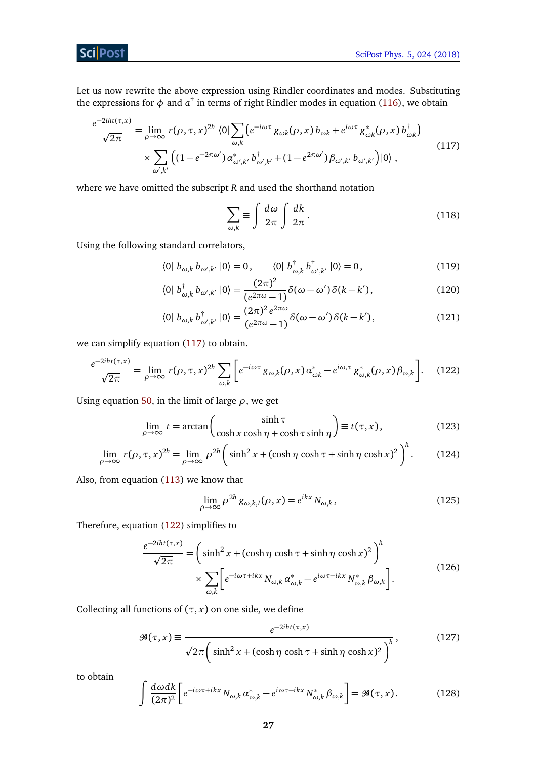# **Sci** Post

Let us now rewrite the above expression using Rindler coordinates and modes. Substituting the expressions for  $\phi$  and  $a^{\dagger}$  in terms of right Rindler modes in equation [\(116\)](#page-26-3), we obtain

$$
\frac{e^{-2iht(\tau,x)}}{\sqrt{2\pi}} = \lim_{\rho \to \infty} r(\rho, \tau, x)^{2h} \langle 0 | \sum_{\omega, k} \left( e^{-i\omega\tau} g_{\omega k}(\rho, x) b_{\omega k} + e^{i\omega\tau} g_{\omega k}^*(\rho, x) b_{\omega k}^\dagger \right) \times \sum_{\omega', k'} \left( \left( 1 - e^{-2\pi\omega'} \right) \alpha_{\omega', k'}^* b_{\omega', k'}^\dagger + \left( 1 - e^{2\pi\omega'} \right) \beta_{\omega', k'} b_{\omega', k'} \right) |0\rangle \,,
$$
\n(117)

where we have omitted the subscript *R* and used the shorthand notation

<span id="page-27-0"></span>
$$
\sum_{\omega,k} \equiv \int \frac{d\omega}{2\pi} \int \frac{dk}{2\pi}.
$$
\n(118)

Using the following standard correlators,

$$
\langle 0 | b_{\omega,k} b_{\omega',k'} | 0 \rangle = 0, \qquad \langle 0 | b_{\omega,k}^{\dagger} b_{\omega',k'}^{\dagger} | 0 \rangle = 0, \tag{119}
$$

$$
\langle 0 | b_{\omega,k}^{\dagger} b_{\omega',k'} | 0 \rangle = \frac{(2\pi)^2}{(e^{2\pi\omega} - 1)} \delta(\omega - \omega') \delta(k - k'), \tag{120}
$$

<span id="page-27-1"></span>
$$
\langle 0 | b_{\omega,k} b_{\omega',k'}^{\dagger} | 0 \rangle = \frac{(2\pi)^2 e^{2\pi \omega}}{(e^{2\pi \omega} - 1)} \delta(\omega - \omega') \delta(k - k'), \tag{121}
$$

we can simplify equation [\(117\)](#page-27-0) to obtain.

$$
\frac{e^{-2iht(\tau,x)}}{\sqrt{2\pi}} = \lim_{\rho \to \infty} r(\rho, \tau, x)^{2h} \sum_{\omega, k} \left[ e^{-i\omega \tau} g_{\omega, k}(\rho, x) \alpha_{\omega k}^* - e^{i\omega, \tau} g_{\omega, k}^*(\rho, x) \beta_{\omega, k} \right].
$$
 (122)

Using equation [50,](#page-12-2) in the limit of large *ρ*, we get

$$
\lim_{\rho \to \infty} t = \arctan\left(\frac{\sinh \tau}{\cosh x \cosh \eta + \cosh \tau \sinh \eta}\right) \equiv t(\tau, x),\tag{123}
$$

$$
\lim_{\rho \to \infty} r(\rho, \tau, x)^{2h} = \lim_{\rho \to \infty} \rho^{2h} \left( \sinh^2 x + (\cosh \eta \cosh \tau + \sinh \eta \cosh x)^2 \right)^h.
$$
 (124)

Also, from equation [\(113\)](#page-26-4) we know that

$$
\lim_{\rho \to \infty} \rho^{2h} g_{\omega, k, I}(\rho, x) = e^{ikx} N_{\omega, k},
$$
\n(125)

Therefore, equation [\(122\)](#page-27-1) simplifies to

$$
\frac{e^{-2iht(\tau,x)}}{\sqrt{2\pi}} = \left(\sinh^2 x + (\cosh \eta \cosh \tau + \sinh \eta \cosh x)^2\right)^h
$$

$$
\times \sum_{\omega,k} \left[e^{-i\omega \tau + ikx} N_{\omega,k} \alpha_{\omega,k}^* - e^{i\omega \tau - ikx} N_{\omega,k}^* \beta_{\omega,k}\right].
$$
(126)

Collecting all functions of  $(\tau, x)$  on one side, we define

$$
\mathcal{B}(\tau, x) \equiv \frac{e^{-2iht(\tau, x)}}{\sqrt{2\pi} \left( \sinh^2 x + (\cosh \eta \cosh \tau + \sinh \eta \cosh x)^2 \right)^h},
$$
(127)

to obtain

$$
\int \frac{d\omega dk}{(2\pi)^2} \left[ e^{-i\omega\tau + ikx} N_{\omega,k} \alpha_{\omega,k}^* - e^{i\omega\tau - ikx} N_{\omega,k}^* \beta_{\omega,k} \right] = \mathcal{B}(\tau, x). \tag{128}
$$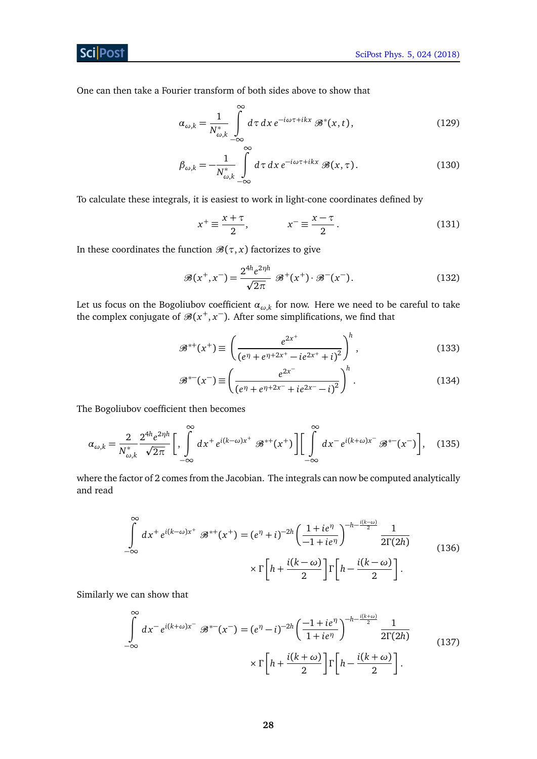## **ScilPost**

One can then take a Fourier transform of both sides above to show that

$$
\alpha_{\omega,k} = \frac{1}{N_{\omega,k}^*} \int_{-\infty}^{\infty} d\tau \, dx \, e^{-i\omega\tau + ikx} \, \mathcal{B}^*(x,t), \tag{129}
$$

$$
\beta_{\omega,k} = -\frac{1}{N_{\omega,k}^*} \int\limits_{-\infty}^{\infty} d\tau \, dx \, e^{-i\omega\tau + ikx} \, \mathcal{B}(x,\tau). \tag{130}
$$

To calculate these integrals, it is easiest to work in light-cone coordinates defined by

$$
x^{+} \equiv \frac{x + \tau}{2}, \qquad x^{-} \equiv \frac{x - \tau}{2}.
$$
 (131)

In these coordinates the function  $\mathcal{B}(\tau, x)$  factorizes to give

$$
\mathcal{B}(x^+, x^-) = \frac{2^{4h} e^{2\eta h}}{\sqrt{2\pi}} \mathcal{B}^+(x^+) \cdot \mathcal{B}^-(x^-). \tag{132}
$$

Let us focus on the Bogoliubov coefficient *αω*,*<sup>k</sup>* for now. Here we need to be careful to take the complex conjugate of  $\mathcal{B}(x^+, x^-)$ . After some simplifications, we find that

$$
\mathcal{B}^{*+}(x^+) \equiv \left(\frac{e^{2x^+}}{(e^{\eta} + e^{\eta + 2x^+} - ie^{2x^+} + i)^2}\right)^h, \tag{133}
$$

<span id="page-28-0"></span>
$$
\mathcal{B}^{*-}(x^-) \equiv \left(\frac{e^{2x^-}}{(e^{\eta} + e^{\eta + 2x^-} + ie^{2x^-} - i)^2}\right)^h.
$$
 (134)

The Bogoliubov coefficient then becomes

$$
\alpha_{\omega,k} = \frac{2}{N_{\omega,k}^*} \frac{2^{4h} e^{2\eta h}}{\sqrt{2\pi}} \bigg[ \int\limits_{-\infty}^{\infty} dx^+ e^{i(k-\omega)x^+} \mathcal{B}^{*+}(x^+) \bigg] \bigg[ \int\limits_{-\infty}^{\infty} dx^- e^{i(k+\omega)x^-} \mathcal{B}^{*-}(x^-) \bigg], \quad (135)
$$

where the factor of 2 comes from the Jacobian. The integrals can now be computed analytically and read

$$
\int_{-\infty}^{\infty} dx^+ e^{i(k-\omega)x^+} \mathcal{B}^{*+}(x^+) = (e^{\eta} + i)^{-2h} \left(\frac{1 + ie^{\eta}}{-1 + ie^{\eta}}\right)^{-h - \frac{i(k-\omega)}{2}} \frac{1}{2\Gamma(2h)}
$$
  
 
$$
\times \Gamma\left[h + \frac{i(k-\omega)}{2}\right] \Gamma\left[h - \frac{i(k-\omega)}{2}\right].
$$
 (136)

Similarly we can show that

$$
\int_{-\infty}^{\infty} dx^{-} e^{i(k+\omega)x^{-}} \mathcal{B}^{*-}(x^{-}) = (e^{\eta} - i)^{-2h} \left(\frac{-1 + ie^{\eta}}{1 + ie^{\eta}}\right)^{-h - \frac{i(k+\omega)}{2}} \frac{1}{2\Gamma(2h)}
$$
\n
$$
\times \Gamma\left[h + \frac{i(k+\omega)}{2}\right] \Gamma\left[h - \frac{i(k+\omega)}{2}\right].
$$
\n(137)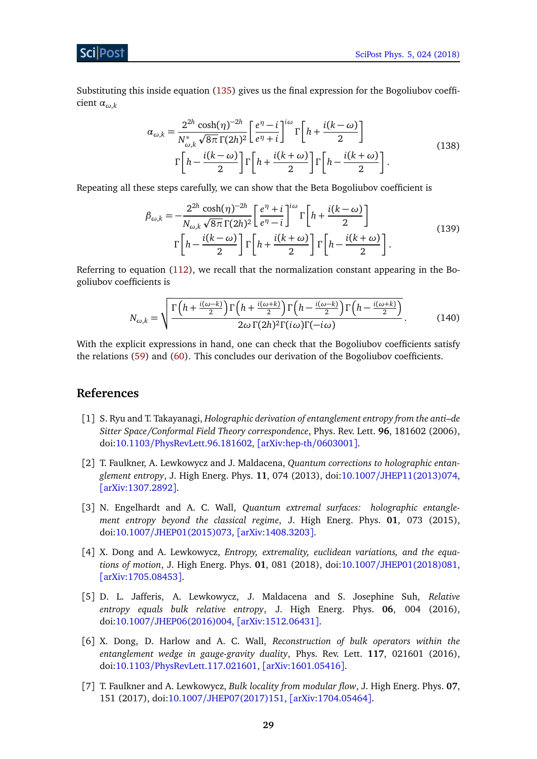Substituting this inside equation [\(135\)](#page-28-0) gives us the final expression for the Bogoliubov coefficient *αω*,*<sup>k</sup>*

$$
\alpha_{\omega,k} = \frac{2^{2h} \cosh(\eta)^{-2h}}{N_{\omega,k}^* \sqrt{8\pi} \Gamma(2h)^2} \left[ \frac{e^{\eta} - i}{e^{\eta} + i} \right]^{i\omega} \Gamma\left[h + \frac{i(k - \omega)}{2}\right]
$$
  

$$
\Gamma\left[h - \frac{i(k - \omega)}{2}\right] \Gamma\left[h + \frac{i(k + \omega)}{2}\right] \Gamma\left[h - \frac{i(k + \omega)}{2}\right].
$$
 (138)

Repeating all these steps carefully, we can show that the Beta Bogoliubov coefficient is

$$
\beta_{\omega,k} = -\frac{2^{2h}\cosh(\eta)^{-2h}}{N_{\omega,k}\sqrt{8\pi}\,\Gamma(2h)^2} \left[\frac{e^{\eta}+i}{e^{\eta}-i}\right]^{i\omega} \Gamma\left[h + \frac{i(k-\omega)}{2}\right] \Gamma\left[h - \frac{i(k-\omega)}{2}\right] \Gamma\left[h - \frac{i(k+\omega)}{2}\right] \Gamma\left[h - \frac{i(k+\omega)}{2}\right].
$$
\n(139)

Referring to equation [\(112\)](#page-26-5), we recall that the normalization constant appearing in the Bogoliubov coefficients is

<span id="page-29-0"></span>
$$
N_{\omega,k} = \sqrt{\frac{\Gamma\left(h + \frac{i(\omega - k)}{2}\right)\Gamma\left(h + \frac{i(\omega + k)}{2}\right)\Gamma\left(h - \frac{i(\omega - k)}{2}\right)\Gamma\left(h - \frac{i(\omega + k)}{2}\right)}{2\omega\Gamma(2h)^2\Gamma(i\omega)\Gamma(-i\omega)}}.
$$
(140)

With the explicit expressions in hand, one can check that the Bogoliubov coefficients satisfy the relations [\(59\)](#page-14-3) and [\(60\)](#page-14-5). This concludes our derivation of the Bogoliubov coefficients.

# **References**

- <span id="page-29-1"></span>[1] S. Ryu and T. Takayanagi, *Holographic derivation of entanglement entropy from the anti–de Sitter Space/Conformal Field Theory correspondence*, Phys. Rev. Lett. **96**, 181602 (2006), doi:10.1103/[PhysRevLett.96.181602,](http://dx.doi.org/10.1103/PhysRevLett.96.181602) [[arXiv:hep-th](https://arxiv.org/abs/hep-th/0603001)/0603001].
- <span id="page-29-2"></span>[2] T. Faulkner, A. Lewkowycz and J. Maldacena, *Quantum corrections to holographic entanglement entropy*, J. High Energ. Phys. **11**, 074 (2013), doi:10.1007/[JHEP11\(2013\)074,](http://dx.doi.org/10.1007/JHEP11(2013)074) [[arXiv:1307.2892](https://arxiv.org/abs/1307.2892)].
- <span id="page-29-3"></span>[3] N. Engelhardt and A. C. Wall, *Quantum extremal surfaces: holographic entanglement entropy beyond the classical regime*, J. High Energ. Phys. **01**, 073 (2015), doi:10.1007/[JHEP01\(2015\)073,](http://dx.doi.org/10.1007/JHEP01(2015)073) [[arXiv:1408.3203](https://arxiv.org/abs/1408.3203)].
- <span id="page-29-4"></span>[4] X. Dong and A. Lewkowycz, *Entropy, extremality, euclidean variations, and the equations of motion*, J. High Energ. Phys. **01**, 081 (2018), doi:10.1007/[JHEP01\(2018\)081,](http://dx.doi.org/10.1007/JHEP01(2018)081) [[arXiv:1705.08453](https://arxiv.org/abs/1705.08453)].
- <span id="page-29-5"></span>[5] D. L. Jafferis, A. Lewkowycz, J. Maldacena and S. Josephine Suh, *Relative entropy equals bulk relative entropy*, J. High Energ. Phys. **06**, 004 (2016), doi:10.1007/[JHEP06\(2016\)004,](http://dx.doi.org/10.1007/JHEP06(2016)004) [[arXiv:1512.06431](https://arxiv.org/abs/1512.06431)].
- <span id="page-29-6"></span>[6] X. Dong, D. Harlow and A. C. Wall, *Reconstruction of bulk operators within the entanglement wedge in gauge-gravity duality*, Phys. Rev. Lett. **117**, 021601 (2016), doi:10.1103/[PhysRevLett.117.021601,](http://dx.doi.org/10.1103/PhysRevLett.117.021601) [[arXiv:1601.05416](https://arxiv.org/abs/1601.05416)].
- <span id="page-29-7"></span>[7] T. Faulkner and A. Lewkowycz, *Bulk locality from modular flow*, J. High Energ. Phys. **07**, 151 (2017), doi:10.1007/[JHEP07\(2017\)151,](http://dx.doi.org/10.1007/JHEP07(2017)151) [[arXiv:1704.05464](https://arxiv.org/abs/1704.05464)].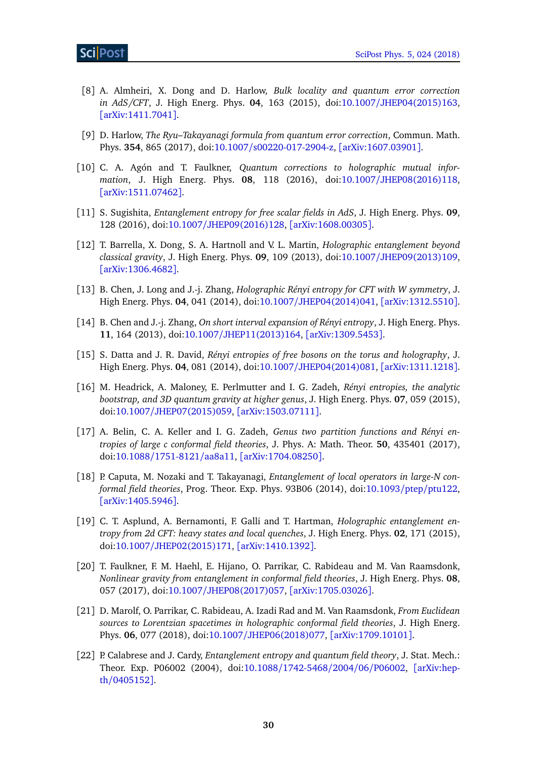- <span id="page-30-0"></span>[8] A. Almheiri, X. Dong and D. Harlow, *Bulk locality and quantum error correction in AdS/CFT*, J. High Energ. Phys. **04**, 163 (2015), doi:10.1007/[JHEP04\(2015\)163,](http://dx.doi.org/10.1007/JHEP04(2015)163) [[arXiv:1411.7041](https://arxiv.org/abs/1411.7041)].
- <span id="page-30-1"></span>[9] D. Harlow, *The Ryu–Takayanagi formula from quantum error correction*, Commun. Math. Phys. **354**, 865 (2017), doi:10.1007/[s00220-017-2904-z,](http://dx.doi.org/10.1007/s00220-017-2904-z) [[arXiv:1607.03901](https://arxiv.org/abs/1607.03901)].
- <span id="page-30-2"></span>[10] C. A. Agón and T. Faulkner, *Quantum corrections to holographic mutual information*, J. High Energ. Phys. **08**, 118 (2016), doi:10.1007/[JHEP08\(2016\)118,](http://dx.doi.org/10.1007/JHEP08(2016)118) [[arXiv:1511.07462](https://arxiv.org/abs/1511.07462)].
- <span id="page-30-3"></span>[11] S. Sugishita, *Entanglement entropy for free scalar fields in AdS*, J. High Energ. Phys. **09**, 128 (2016), doi:10.1007/[JHEP09\(2016\)128,](http://dx.doi.org/10.1007/JHEP09(2016)128) [[arXiv:1608.00305](https://arxiv.org/abs/1608.00305)].
- <span id="page-30-4"></span>[12] T. Barrella, X. Dong, S. A. Hartnoll and V. L. Martin, *Holographic entanglement beyond classical gravity*, J. High Energ. Phys. **09**, 109 (2013), doi:10.1007/[JHEP09\(2013\)109,](http://dx.doi.org/10.1007/JHEP09(2013)109) [[arXiv:1306.4682](https://arxiv.org/abs/1306.4682)].
- <span id="page-30-5"></span>[13] B. Chen, J. Long and J.-j. Zhang, *Holographic Rényi entropy for CFT with W symmetry*, J. High Energ. Phys. **04**, 041 (2014), doi:10.1007/[JHEP04\(2014\)041,](http://dx.doi.org/10.1007/JHEP04(2014)041) [[arXiv:1312.5510](https://arxiv.org/abs/1312.5510)].
- [14] B. Chen and J.-j. Zhang, *On short interval expansion of Rényi entropy*, J. High Energ. Phys. **11**, 164 (2013), doi:10.1007/[JHEP11\(2013\)164,](http://dx.doi.org/10.1007/JHEP11(2013)164) [[arXiv:1309.5453](https://arxiv.org/abs/1309.5453)].
- [15] S. Datta and J. R. David, *Rényi entropies of free bosons on the torus and holography*, J. High Energ. Phys. **04**, 081 (2014), doi:10.1007/[JHEP04\(2014\)081,](http://dx.doi.org/10.1007/JHEP04(2014)081) [[arXiv:1311.1218](https://arxiv.org/abs/1311.1218)].
- [16] M. Headrick, A. Maloney, E. Perlmutter and I. G. Zadeh, *Rényi entropies, the analytic bootstrap, and 3D quantum gravity at higher genus*, J. High Energ. Phys. **07**, 059 (2015), doi:10.1007/[JHEP07\(2015\)059,](http://dx.doi.org/10.1007/JHEP07(2015)059) [[arXiv:1503.07111](https://arxiv.org/abs/1503.07111)].
- <span id="page-30-6"></span>[17] A. Belin, C. A. Keller and I. G. Zadeh, *Genus two partition functions and Rényi entropies of large c conformal field theories*, J. Phys. A: Math. Theor. **50**, 435401 (2017), doi:10.1088/[1751-8121](http://dx.doi.org/10.1088/1751-8121/aa8a11)/aa8a11, [[arXiv:1704.08250](https://arxiv.org/abs/1704.08250)].
- <span id="page-30-7"></span>[18] P. Caputa, M. Nozaki and T. Takayanagi, *Entanglement of local operators in large-N conformal field theories*, Prog. Theor. Exp. Phys. 93B06 (2014), doi[:10.1093](http://dx.doi.org/10.1093/ptep/ptu122)/ptep/ptu122, [[arXiv:1405.5946](https://arxiv.org/abs/1405.5946)].
- <span id="page-30-8"></span>[19] C. T. Asplund, A. Bernamonti, F. Galli and T. Hartman, *Holographic entanglement entropy from 2d CFT: heavy states and local quenches*, J. High Energ. Phys. **02**, 171 (2015), doi:10.1007/[JHEP02\(2015\)171,](http://dx.doi.org/10.1007/JHEP02(2015)171) [[arXiv:1410.1392](https://arxiv.org/abs/1410.1392)].
- <span id="page-30-9"></span>[20] T. Faulkner, F. M. Haehl, E. Hijano, O. Parrikar, C. Rabideau and M. Van Raamsdonk, *Nonlinear gravity from entanglement in conformal field theories*, J. High Energ. Phys. **08**, 057 (2017), doi:10.1007/[JHEP08\(2017\)057,](http://dx.doi.org/10.1007/JHEP08(2017)057) [[arXiv:1705.03026](https://arxiv.org/abs/1705.03026)].
- <span id="page-30-10"></span>[21] D. Marolf, O. Parrikar, C. Rabideau, A. Izadi Rad and M. Van Raamsdonk, *From Euclidean sources to Lorentzian spacetimes in holographic conformal field theories*, J. High Energ. Phys. **06**, 077 (2018), doi:10.1007/[JHEP06\(2018\)077,](http://dx.doi.org/10.1007/JHEP06(2018)077) [[arXiv:1709.10101](https://arxiv.org/abs/1709.10101)].
- <span id="page-30-11"></span>[22] P. Calabrese and J. Cardy, *Entanglement entropy and quantum field theory*, J. Stat. Mech.: Theor. Exp. P06002 (2004), doi:10.1088/[1742-5468](http://dx.doi.org/10.1088/1742-5468/2004/06/P06002)/2004/06/P06002, [[arXiv:hep](https://arxiv.org/abs/hep-th/0405152)th/[0405152](https://arxiv.org/abs/hep-th/0405152)].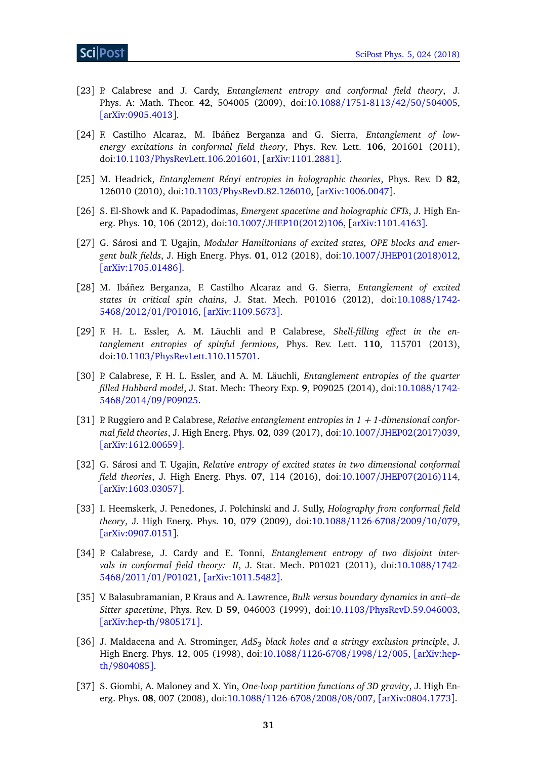- <span id="page-31-0"></span>[23] P. Calabrese and J. Cardy, *Entanglement entropy and conformal field theory*, J. Phys. A: Math. Theor. **42**, 504005 (2009), doi:10.1088/[1751-8113](http://dx.doi.org/10.1088/1751-8113/42/50/504005)/42/50/504005, [[arXiv:0905.4013](https://arxiv.org/abs/0905.4013)].
- <span id="page-31-1"></span>[24] F. Castilho Alcaraz, M. Ibáñez Berganza and G. Sierra, *Entanglement of lowenergy excitations in conformal field theory*, Phys. Rev. Lett. **106**, 201601 (2011), doi:10.1103/[PhysRevLett.106.201601,](http://dx.doi.org/10.1103/PhysRevLett.106.201601) [[arXiv:1101.2881](https://arxiv.org/abs/1101.2881)].
- <span id="page-31-2"></span>[25] M. Headrick, *Entanglement Rényi entropies in holographic theories*, Phys. Rev. D **82**, 126010 (2010), doi:10.1103/[PhysRevD.82.126010,](http://dx.doi.org/10.1103/PhysRevD.82.126010) [[arXiv:1006.0047](https://arxiv.org/abs/1006.0047)].
- <span id="page-31-3"></span>[26] S. El-Showk and K. Papadodimas, *Emergent spacetime and holographic CFTs*, J. High Energ. Phys. **10**, 106 (2012), doi:10.1007/[JHEP10\(2012\)106,](http://dx.doi.org/10.1007/JHEP10(2012)106) [[arXiv:1101.4163](https://arxiv.org/abs/1101.4163)].
- <span id="page-31-4"></span>[27] G. Sárosi and T. Ugajin, *Modular Hamiltonians of excited states, OPE blocks and emergent bulk fields*, J. High Energ. Phys. **01**, 012 (2018), doi:10.1007/[JHEP01\(2018\)012,](http://dx.doi.org/10.1007/JHEP01(2018)012) [[arXiv:1705.01486](https://arxiv.org/abs/1705.01486)].
- <span id="page-31-5"></span>[28] M. Ibáñez Berganza, F. Castilho Alcaraz and G. Sierra, *Entanglement of excited states in critical spin chains*, J. Stat. Mech. P01016 (2012), doi[:10.1088](http://dx.doi.org/10.1088/1742-5468/2012/01/P01016)/1742- 5468/2012/01/[P01016,](http://dx.doi.org/10.1088/1742-5468/2012/01/P01016) [[arXiv:1109.5673](https://arxiv.org/abs/1109.5673)].
- [29] F. H. L. Essler, A. M. Läuchli and P. Calabrese, *Shell-filling effect in the entanglement entropies of spinful fermions*, Phys. Rev. Lett. **110**, 115701 (2013), doi:10.1103/[PhysRevLett.110.115701.](http://dx.doi.org/10.1103/PhysRevLett.110.115701)
- [30] P. Calabrese, F. H. L. Essler, and A. M. Läuchli, *Entanglement entropies of the quarter filled Hubbard model*, J. Stat. Mech: Theory Exp. **9**, P09025 (2014), doi[:10.1088](http://dx.doi.org/10.1088/1742-5468/2014/09/P09025)/1742- 5468/2014/09/[P09025.](http://dx.doi.org/10.1088/1742-5468/2014/09/P09025)
- <span id="page-31-6"></span>[31] P. Ruggiero and P. Calabrese, *Relative entanglement entropies in 1 + 1-dimensional conformal field theories*, J. High Energ. Phys. **02**, 039 (2017), doi:10.1007/[JHEP02\(2017\)039,](http://dx.doi.org/10.1007/JHEP02(2017)039) [[arXiv:1612.00659](https://arxiv.org/abs/1612.00659)].
- <span id="page-31-7"></span>[32] G. Sárosi and T. Ugajin, *Relative entropy of excited states in two dimensional conformal field theories*, J. High Energ. Phys. **07**, 114 (2016), doi:10.1007/[JHEP07\(2016\)114,](http://dx.doi.org/10.1007/JHEP07(2016)114) [[arXiv:1603.03057](https://arxiv.org/abs/1603.03057)].
- <span id="page-31-8"></span>[33] I. Heemskerk, J. Penedones, J. Polchinski and J. Sully, *Holography from conformal field theory*, J. High Energ. Phys. **10**, 079 (2009), doi:10.1088/[1126-6708](http://dx.doi.org/10.1088/1126-6708/2009/10/079)/2009/10/079, [[arXiv:0907.0151](https://arxiv.org/abs/0907.0151)].
- <span id="page-31-9"></span>[34] P. Calabrese, J. Cardy and E. Tonni, *Entanglement entropy of two disjoint intervals in conformal field theory: II*, J. Stat. Mech. P01021 (2011), doi[:10.1088](http://dx.doi.org/10.1088/1742-5468/2011/01/P01021)/1742- 5468/2011/01/[P01021,](http://dx.doi.org/10.1088/1742-5468/2011/01/P01021) [[arXiv:1011.5482](https://arxiv.org/abs/1011.5482)].
- <span id="page-31-10"></span>[35] V. Balasubramanian, P. Kraus and A. Lawrence, *Bulk versus boundary dynamics in anti–de Sitter spacetime*, Phys. Rev. D **59**, 046003 (1999), doi:10.1103/[PhysRevD.59.046003,](http://dx.doi.org/10.1103/PhysRevD.59.046003) [[arXiv:hep-th](https://arxiv.org/abs/hep-th/9805171)/9805171].
- <span id="page-31-11"></span>[36] J. Maldacena and A. Strominger, AdS<sub>3</sub> black holes and a stringy exclusion principle, J. High Energ. Phys. **12**, 005 (1998), doi:10.1088/[1126-6708](http://dx.doi.org/10.1088/1126-6708/1998/12/005)/1998/12/005, [[arXiv:hep](https://arxiv.org/abs/hep-th/9804085)th/[9804085](https://arxiv.org/abs/hep-th/9804085)].
- <span id="page-31-12"></span>[37] S. Giombi, A. Maloney and X. Yin, *One-loop partition functions of 3D gravity*, J. High Energ. Phys. **08**, 007 (2008), doi:10.1088/[1126-6708](http://dx.doi.org/10.1088/1126-6708/2008/08/007)/2008/08/007, [[arXiv:0804.1773](https://arxiv.org/abs/0804.1773)].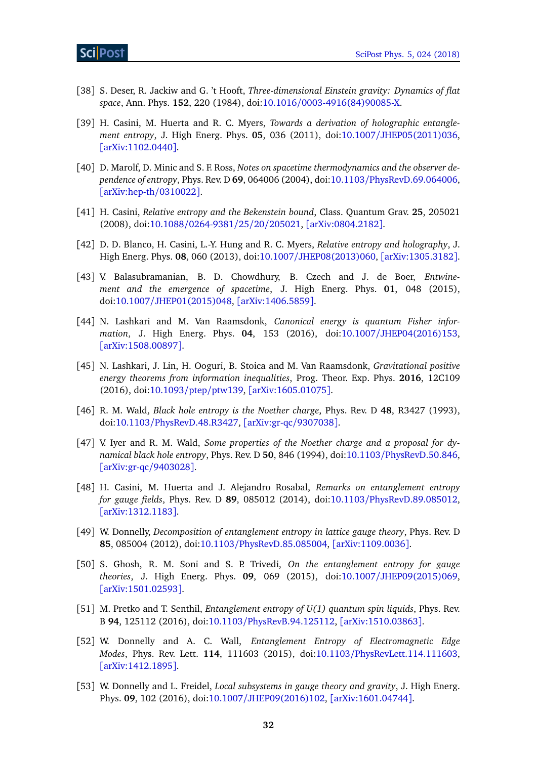- <span id="page-32-0"></span>[38] S. Deser, R. Jackiw and G. 't Hooft, *Three-dimensional Einstein gravity: Dynamics of flat space*, Ann. Phys. **152**, 220 (1984), doi:10.1016/[0003-4916\(84\)90085-X.](http://dx.doi.org/10.1016/0003-4916(84)90085-X)
- <span id="page-32-1"></span>[39] H. Casini, M. Huerta and R. C. Myers, *Towards a derivation of holographic entanglement entropy*, J. High Energ. Phys. **05**, 036 (2011), doi:10.1007/[JHEP05\(2011\)036,](http://dx.doi.org/10.1007/JHEP05(2011)036) [[arXiv:1102.0440](https://arxiv.org/abs/1102.0440)].
- <span id="page-32-2"></span>[40] D. Marolf, D. Minic and S. F. Ross, *Notes on spacetime thermodynamics and the observer dependence of entropy*, Phys. Rev. D **69**, 064006 (2004), doi:10.1103/[PhysRevD.69.064006,](http://dx.doi.org/10.1103/PhysRevD.69.064006) [[arXiv:hep-th](https://arxiv.org/abs/hep-th/0310022)/0310022].
- <span id="page-32-3"></span>[41] H. Casini, *Relative entropy and the Bekenstein bound*, Class. Quantum Grav. **25**, 205021 (2008), doi:10.1088/[0264-9381](http://dx.doi.org/10.1088/0264-9381/25/20/205021)/25/20/205021, [[arXiv:0804.2182](https://arxiv.org/abs/0804.2182)].
- <span id="page-32-4"></span>[42] D. D. Blanco, H. Casini, L.-Y. Hung and R. C. Myers, *Relative entropy and holography*, J. High Energ. Phys. **08**, 060 (2013), doi:10.1007/[JHEP08\(2013\)060,](http://dx.doi.org/10.1007/JHEP08(2013)060) [[arXiv:1305.3182](https://arxiv.org/abs/1305.3182)].
- <span id="page-32-5"></span>[43] V. Balasubramanian, B. D. Chowdhury, B. Czech and J. de Boer, *Entwinement and the emergence of spacetime*, J. High Energ. Phys. **01**, 048 (2015), doi:10.1007/[JHEP01\(2015\)048,](http://dx.doi.org/10.1007/JHEP01(2015)048) [[arXiv:1406.5859](https://arxiv.org/abs/1406.5859)].
- <span id="page-32-6"></span>[44] N. Lashkari and M. Van Raamsdonk, *Canonical energy is quantum Fisher information*, J. High Energ. Phys. **04**, 153 (2016), doi:10.1007/[JHEP04\(2016\)153,](http://dx.doi.org/10.1007/JHEP04(2016)153) [[arXiv:1508.00897](https://arxiv.org/abs/1508.00897)].
- <span id="page-32-7"></span>[45] N. Lashkari, J. Lin, H. Ooguri, B. Stoica and M. Van Raamsdonk, *Gravitational positive energy theorems from information inequalities*, Prog. Theor. Exp. Phys. **2016**, 12C109 (2016), doi[:10.1093](http://dx.doi.org/10.1093/ptep/ptw139)/ptep/ptw139, [[arXiv:1605.01075](https://arxiv.org/abs/1605.01075)].
- <span id="page-32-8"></span>[46] R. M. Wald, *Black hole entropy is the Noether charge*, Phys. Rev. D **48**, R3427 (1993), doi:10.1103/[PhysRevD.48.R3427,](http://dx.doi.org/10.1103/PhysRevD.48.R3427) [[arXiv:gr-qc](https://arxiv.org/abs/gr-qc/9307038)/9307038].
- <span id="page-32-9"></span>[47] V. Iyer and R. M. Wald, *Some properties of the Noether charge and a proposal for dynamical black hole entropy*, Phys. Rev. D **50**, 846 (1994), doi:10.1103/[PhysRevD.50.846,](http://dx.doi.org/10.1103/PhysRevD.50.846) [[arXiv:gr-qc](https://arxiv.org/abs/gr-qc/9403028)/9403028].
- <span id="page-32-10"></span>[48] H. Casini, M. Huerta and J. Alejandro Rosabal, *Remarks on entanglement entropy for gauge fields*, Phys. Rev. D **89**, 085012 (2014), doi:10.1103/[PhysRevD.89.085012,](http://dx.doi.org/10.1103/PhysRevD.89.085012) [[arXiv:1312.1183](https://arxiv.org/abs/1312.1183)].
- [49] W. Donnelly, *Decomposition of entanglement entropy in lattice gauge theory*, Phys. Rev. D **85**, 085004 (2012), doi:10.1103/[PhysRevD.85.085004,](http://dx.doi.org/10.1103/PhysRevD.85.085004) [[arXiv:1109.0036](https://arxiv.org/abs/1109.0036)].
- [50] S. Ghosh, R. M. Soni and S. P. Trivedi, *On the entanglement entropy for gauge theories*, J. High Energ. Phys. **09**, 069 (2015), doi:10.1007/[JHEP09\(2015\)069,](http://dx.doi.org/10.1007/JHEP09(2015)069) [[arXiv:1501.02593](https://arxiv.org/abs/1501.02593)].
- [51] M. Pretko and T. Senthil, *Entanglement entropy of U(1) quantum spin liquids*, Phys. Rev. B **94**, 125112 (2016), doi:10.1103/[PhysRevB.94.125112,](http://dx.doi.org/10.1103/PhysRevB.94.125112) [[arXiv:1510.03863](https://arxiv.org/abs/1510.03863)].
- <span id="page-32-11"></span>[52] W. Donnelly and A. C. Wall, *Entanglement Entropy of Electromagnetic Edge Modes*, Phys. Rev. Lett. **114**, 111603 (2015), doi:10.1103/[PhysRevLett.114.111603,](http://dx.doi.org/10.1103/PhysRevLett.114.111603) [[arXiv:1412.1895](https://arxiv.org/abs/1412.1895)].
- <span id="page-32-12"></span>[53] W. Donnelly and L. Freidel, *Local subsystems in gauge theory and gravity*, J. High Energ. Phys. **09**, 102 (2016), doi:10.1007/[JHEP09\(2016\)102,](http://dx.doi.org/10.1007/JHEP09(2016)102) [[arXiv:1601.04744](https://arxiv.org/abs/1601.04744)].